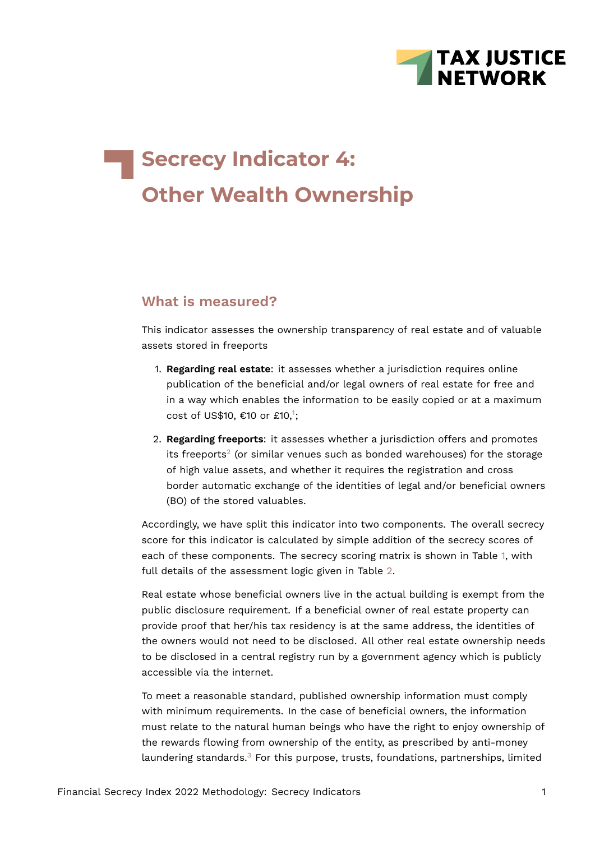

# **Secrecy Indicator 4: Other Wealth Ownership**

# **What is measured?**

This indicator assesses the ownership transparency of real estate and of valuable assets stored in freeports

- 1. **Regarding real estate**: it assesses whether a jurisdiction requires online publication of the beneficial and/or legal owners of real estate for free and in a way which enables the information to be easily copied or at a maximum cost of US\$[1](#page-17-0)0, €10 or £10,<sup>1</sup>;
- <span id="page-0-1"></span><span id="page-0-0"></span>2. **Regarding freeports**: it assesses whether a jurisdiction offers and promotes its freeports $^2$  $^2$  (or similar venues such as bonded warehouses) for the storage of high value assets, and whether it requires the registration and cross border automatic exchange of the identities of legal and/or beneficial owners (BO) of the stored valuables.

Accordingly, we have split this indicator into two components. The overall secrecy score for this indicator is calculated by simple addition of the secrecy scores of each of these components. The secrecy scoring matrix is shown in Table [1,](#page-3-0) with full details of the assessment logic given in Table [2.](#page-11-0)

Real estate whose beneficial owners live in the actual building is exempt from the public disclosure requirement. If a beneficial owner of real estate property can provide proof that her/his tax residency is at the same address, the identities of the owners would not need to be disclosed. All other real estate ownership needs to be disclosed in a central registry run by a government agency which is publicly accessible via the internet.

<span id="page-0-2"></span>To meet a reasonable standard, published ownership information must comply with minimum requirements. In the case of beneficial owners, the information must relate to the natural human beings who have the right to enjoy ownership of the rewards flowing from ownership of the entity, as prescribed by anti-money laundering standards.<sup>[3](#page-17-2)</sup> For this purpose, trusts, foundations, partnerships, limited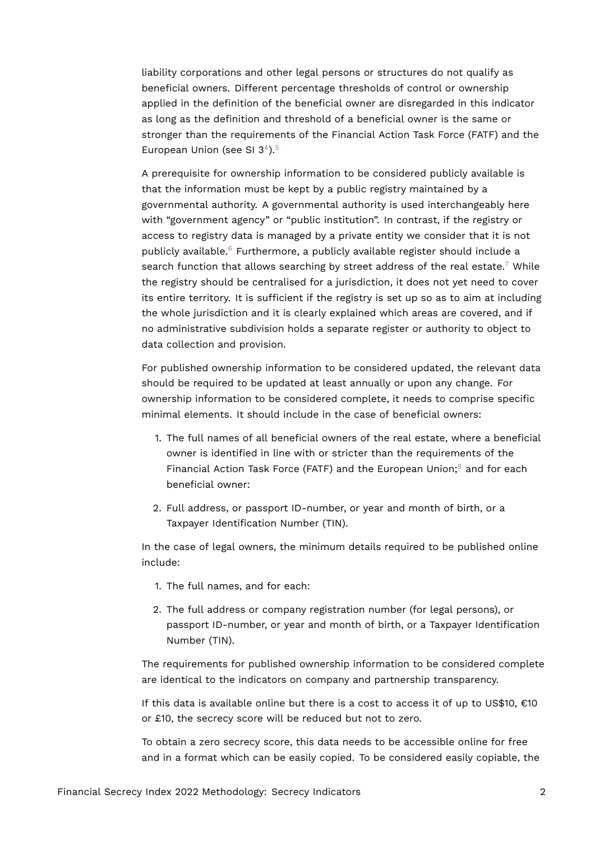liability corporations and other legal persons or structures do not qualify as beneficial owners. Different percentage thresholds of control or ownership applied in the definition of the beneficial owner are disregarded in this indicator as long as the definition and threshold of a beneficial owner is the same or stronger than the requirements of the Financial Action Task Force (FATF) and the European Union (see SI  $3^4$  $3^4$ ).<sup>[5](#page-17-4)</sup>

<span id="page-1-3"></span><span id="page-1-2"></span><span id="page-1-1"></span><span id="page-1-0"></span>A prerequisite for ownership information to be considered publicly available is that the information must be kept by a public registry maintained by a governmental authority. A governmental authority is used interchangeably here with "government agency" or "public institution". In contrast, if the registry or access to registry data is managed by a private entity we consider that it is not publicly available.<sup>[6](#page-17-5)</sup> Furthermore, a publicly available register should include a search function that allows searching by street address of the real estate.<sup>[7](#page-17-6)</sup> While the registry should be centralised for a jurisdiction, it does not yet need to cover its entire territory. It is sufficient if the registry is set up so as to aim at including the whole jurisdiction and it is clearly explained which areas are covered, and if no administrative subdivision holds a separate register or authority to object to data collection and provision.

For published ownership information to be considered updated, the relevant data should be required to be updated at least annually or upon any change. For ownership information to be considered complete, it needs to comprise specific minimal elements. It should include in the case of beneficial owners:

- <span id="page-1-4"></span>1. The full names of all beneficial owners of the real estate, where a beneficial owner is identified in line with or stricter than the requirements of the Financial Action Task Force (FATF) and the European Union; $<sup>8</sup>$  $<sup>8</sup>$  $<sup>8</sup>$  and for each</sup> beneficial owner:
- 2. Full address, or passport ID-number, or year and month of birth, or a Taxpayer Identification Number (TIN).

In the case of legal owners, the minimum details required to be published online include:

- 1. The full names, and for each:
- 2. The full address or company registration number (for legal persons), or passport ID-number, or year and month of birth, or a Taxpayer Identification Number (TIN).

The requirements for published ownership information to be considered complete are identical to the indicators on company and partnership transparency.

If this data is available online but there is a cost to access it of up to  $US$10, €10$ or £10, the secrecy score will be reduced but not to zero.

To obtain a zero secrecy score, this data needs to be accessible online for free and in a format which can be easily copied. To be considered easily copiable, the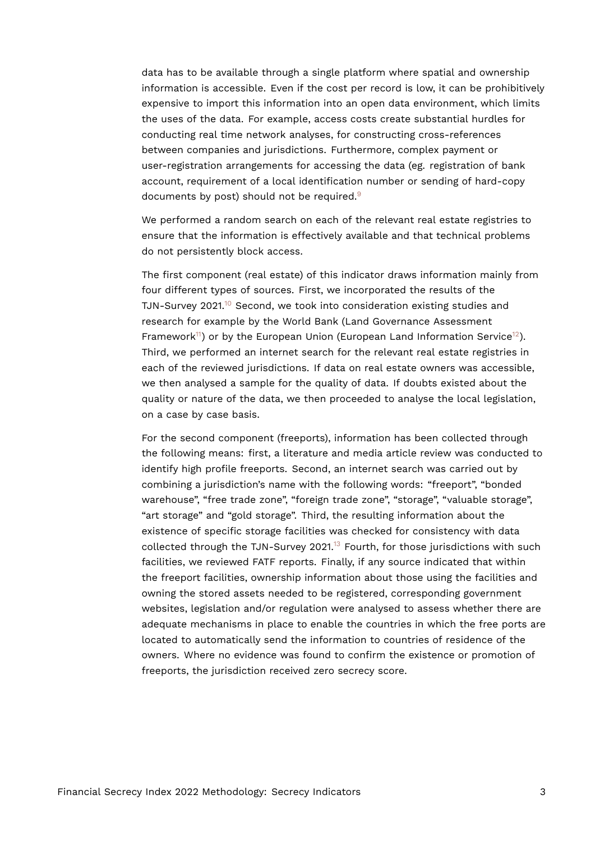data has to be available through a single platform where spatial and ownership information is accessible. Even if the cost per record is low, it can be prohibitively expensive to import this information into an open data environment, which limits the uses of the data. For example, access costs create substantial hurdles for conducting real time network analyses, for constructing cross-references between companies and jurisdictions. Furthermore, complex payment or user-registration arrangements for accessing the data (eg. registration of bank account, requirement of a local identification number or sending of hard-copy documents by post) should not be required.<sup>[9](#page-17-8)</sup>

<span id="page-2-0"></span>We performed a random search on each of the relevant real estate registries to ensure that the information is effectively available and that technical problems do not persistently block access.

<span id="page-2-3"></span><span id="page-2-2"></span><span id="page-2-1"></span>The first component (real estate) of this indicator draws information mainly from four different types of sources. First, we incorporated the results of the TJN-Survey 2021.<sup>[10](#page-17-9)</sup> Second, we took into consideration existing studies and research for example by the World Bank (Land Governance Assessment Framework<sup>[11](#page-18-0)</sup>) or by the European Union (European Land Information Service<sup>[12](#page-18-1)</sup>). Third, we performed an internet search for the relevant real estate registries in each of the reviewed jurisdictions. If data on real estate owners was accessible, we then analysed a sample for the quality of data. If doubts existed about the quality or nature of the data, we then proceeded to analyse the local legislation, on a case by case basis.

<span id="page-2-4"></span>For the second component (freeports), information has been collected through the following means: first, a literature and media article review was conducted to identify high profile freeports. Second, an internet search was carried out by combining a jurisdiction's name with the following words: "freeport", "bonded warehouse", "free trade zone", "foreign trade zone", "storage", "valuable storage", "art storage" and "gold storage". Third, the resulting information about the existence of specific storage facilities was checked for consistency with data collected through the TJN-Survey 2021.<sup>[13](#page-18-2)</sup> Fourth, for those jurisdictions with such facilities, we reviewed FATF reports. Finally, if any source indicated that within the freeport facilities, ownership information about those using the facilities and owning the stored assets needed to be registered, corresponding government websites, legislation and/or regulation were analysed to assess whether there are adequate mechanisms in place to enable the countries in which the free ports are located to automatically send the information to countries of residence of the owners. Where no evidence was found to confirm the existence or promotion of freeports, the jurisdiction received zero secrecy score.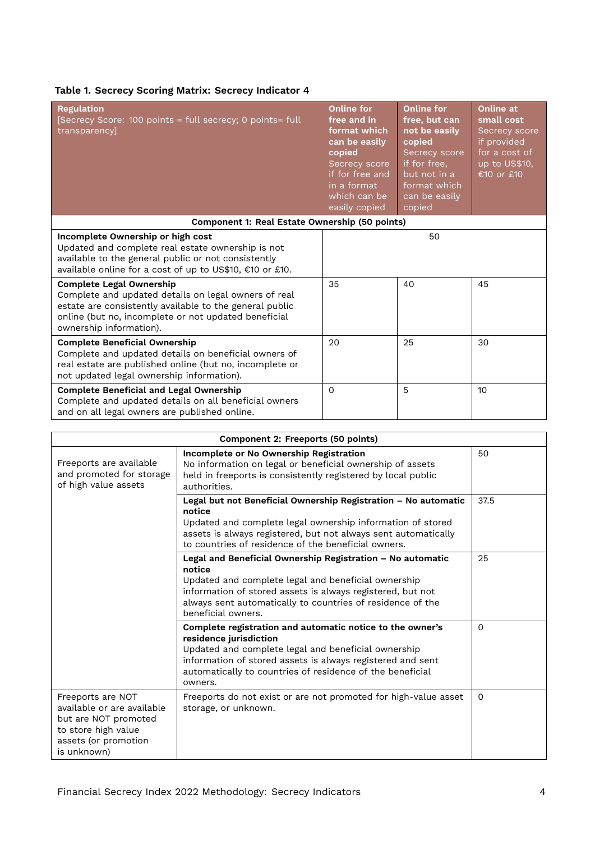<span id="page-3-0"></span>

|  |  | Table 1. Secrecy Scoring Matrix: Secrecy Indicator 4 |
|--|--|------------------------------------------------------|
|--|--|------------------------------------------------------|

| <b>Regulation</b><br>[Secrecy Score: 100 points = full secrecy; 0 points= full<br>transparencyl                                                                                                                                       | <b>Online for</b><br>free and in<br>format which<br>can be easily<br>copied<br>Secrecy score<br>if for free and<br>in a format<br>which can be<br>easily copied | <b>Online for</b><br>free, but can<br>not be easily<br>copied<br>Secrecy score<br>if for free,<br>but not in a<br>format which<br>can be easily<br>copied | Online at<br>small cost<br>Secrecy score<br>if provided<br>for a cost of<br>up to US\$10,<br>€10 or £10 |
|---------------------------------------------------------------------------------------------------------------------------------------------------------------------------------------------------------------------------------------|-----------------------------------------------------------------------------------------------------------------------------------------------------------------|-----------------------------------------------------------------------------------------------------------------------------------------------------------|---------------------------------------------------------------------------------------------------------|
| <b>Component 1: Real Estate Ownership (50 points)</b>                                                                                                                                                                                 |                                                                                                                                                                 |                                                                                                                                                           |                                                                                                         |
| Incomplete Ownership or high cost<br>Updated and complete real estate ownership is not<br>available to the general public or not consistently<br>available online for a cost of up to US\$10, €10 or £10.                             |                                                                                                                                                                 | 50                                                                                                                                                        |                                                                                                         |
| <b>Complete Legal Ownership</b><br>Complete and updated details on legal owners of real<br>estate are consistently available to the general public<br>online (but no, incomplete or not updated beneficial<br>ownership information). | 35                                                                                                                                                              | 40                                                                                                                                                        | 45                                                                                                      |
| <b>Complete Beneficial Ownership</b><br>Complete and updated details on beneficial owners of<br>real estate are published online (but no, incomplete or<br>not updated legal ownership information).                                  | 20                                                                                                                                                              | 25                                                                                                                                                        | 30                                                                                                      |
| <b>Complete Beneficial and Legal Ownership</b><br>Complete and updated details on all beneficial owners<br>and on all legal owners are published online.                                                                              | $\Omega$                                                                                                                                                        | 5                                                                                                                                                         | 10                                                                                                      |

|                                                                                                                                       | Component 2: Freeports (50 points)                                                                                                                                                                                                                                               |          |
|---------------------------------------------------------------------------------------------------------------------------------------|----------------------------------------------------------------------------------------------------------------------------------------------------------------------------------------------------------------------------------------------------------------------------------|----------|
| Freeports are available<br>and promoted for storage<br>of high value assets                                                           | Incomplete or No Ownership Registration<br>No information on legal or beneficial ownership of assets<br>held in freeports is consistently registered by local public<br>authorities.                                                                                             | 50       |
|                                                                                                                                       | Legal but not Beneficial Ownership Registration - No automatic<br>notice<br>Updated and complete legal ownership information of stored<br>assets is always registered, but not always sent automatically<br>to countries of residence of the beneficial owners.                  | 37.5     |
|                                                                                                                                       | Legal and Beneficial Ownership Registration - No automatic<br>notice<br>Updated and complete legal and beneficial ownership<br>information of stored assets is always registered, but not<br>always sent automatically to countries of residence of the<br>beneficial owners.    | 25       |
|                                                                                                                                       | Complete registration and automatic notice to the owner's<br>residence jurisdiction<br>Updated and complete legal and beneficial ownership<br>information of stored assets is always registered and sent<br>automatically to countries of residence of the beneficial<br>owners. | $\Omega$ |
| Freeports are NOT<br>available or are available<br>but are NOT promoted<br>to store high value<br>assets (or promotion<br>is unknown) | Freeports do not exist or are not promoted for high-value asset<br>storage, or unknown.                                                                                                                                                                                          | 0        |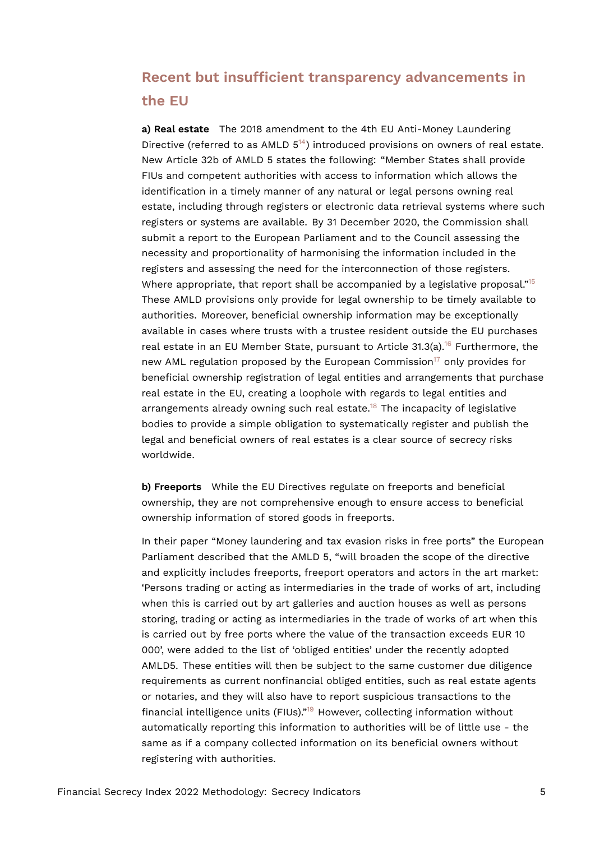# **Recent but insufficient transparency advancements in the EU**

<span id="page-4-1"></span><span id="page-4-0"></span>**a) Real estate** The 2018 amendment to the 4th EU Anti-Money Laundering Directive (referred to as AMLD  $5^{14}$  $5^{14}$  $5^{14}$ ) introduced provisions on owners of real estate. New Article 32b of AMLD 5 states the following: "Member States shall provide FIUs and competent authorities with access to information which allows the identification in a timely manner of any natural or legal persons owning real estate, including through registers or electronic data retrieval systems where such registers or systems are available. By 31 December 2020, the Commission shall submit a report to the European Parliament and to the Council assessing the necessity and proportionality of harmonising the information included in the registers and assessing the need for the interconnection of those registers. Where appropriate, that report shall be accompanied by a legislative proposal."<sup>[15](#page-18-4)</sup> These AMLD provisions only provide for legal ownership to be timely available to authorities. Moreover, beneficial ownership information may be exceptionally available in cases where trusts with a trustee resident outside the EU purchases real estate in an EU Member State, pursuant to Article  $31.3(a)$ .<sup>[16](#page-18-5)</sup> Furthermore, the new AML regulation proposed by the European Commission<sup>[17](#page-18-6)</sup> only provides for beneficial ownership registration of legal entities and arrangements that purchase real estate in the EU, creating a loophole with regards to legal entities and arrangements already owning such real estate.[18](#page-18-7) The incapacity of legislative bodies to provide a simple obligation to systematically register and publish the legal and beneficial owners of real estates is a clear source of secrecy risks worldwide.

<span id="page-4-4"></span><span id="page-4-3"></span><span id="page-4-2"></span>**b) Freeports** While the EU Directives regulate on freeports and beneficial ownership, they are not comprehensive enough to ensure access to beneficial ownership information of stored goods in freeports.

<span id="page-4-5"></span>In their paper "Money laundering and tax evasion risks in free ports" the European Parliament described that the AMLD 5, "will broaden the scope of the directive and explicitly includes freeports, freeport operators and actors in the art market: 'Persons trading or acting as intermediaries in the trade of works of art, including when this is carried out by art galleries and auction houses as well as persons storing, trading or acting as intermediaries in the trade of works of art when this is carried out by free ports where the value of the transaction exceeds EUR 10 000', were added to the list of 'obliged entities' under the recently adopted AMLD5. These entities will then be subject to the same customer due diligence requirements as current nonfinancial obliged entities, such as real estate agents or notaries, and they will also have to report suspicious transactions to the financial intelligence units (FIUs)."[19](#page-18-8) However, collecting information without automatically reporting this information to authorities will be of little use - the same as if a company collected information on its beneficial owners without registering with authorities.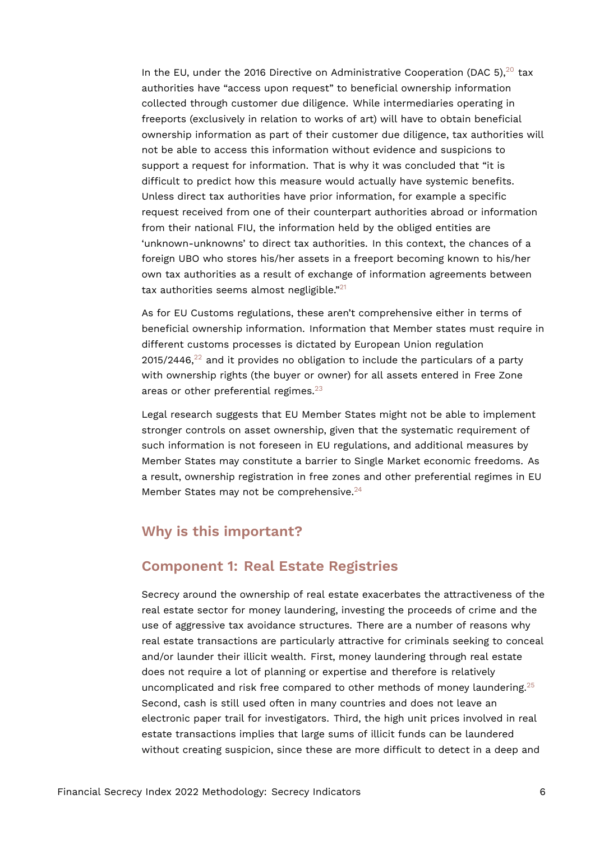<span id="page-5-0"></span>In the EU, under the [20](#page-18-9)16 Directive on Administrative Cooperation (DAC 5),  $20$  tax authorities have "access upon request" to beneficial ownership information collected through customer due diligence. While intermediaries operating in freeports (exclusively in relation to works of art) will have to obtain beneficial ownership information as part of their customer due diligence, tax authorities will not be able to access this information without evidence and suspicions to support a request for information. That is why it was concluded that "it is difficult to predict how this measure would actually have systemic benefits. Unless direct tax authorities have prior information, for example a specific request received from one of their counterpart authorities abroad or information from their national FIU, the information held by the obliged entities are 'unknown-unknowns' to direct tax authorities. In this context, the chances of a foreign UBO who stores his/her assets in a freeport becoming known to his/her own tax authorities as a result of exchange of information agreements between tax authorities seems almost negligible."[21](#page-18-10)

<span id="page-5-2"></span><span id="page-5-1"></span>As for EU Customs regulations, these aren't comprehensive either in terms of beneficial ownership information. Information that Member states must require in different customs processes is dictated by European Union regulation  $2015/2446$ ,<sup>[22](#page-18-11)</sup> and it provides no obligation to include the particulars of a party with ownership rights (the buyer or owner) for all assets entered in Free Zone areas or other preferential regimes.<sup>[23](#page-18-12)</sup>

<span id="page-5-3"></span>Legal research suggests that EU Member States might not be able to implement stronger controls on asset ownership, given that the systematic requirement of such information is not foreseen in EU regulations, and additional measures by Member States may constitute a barrier to Single Market economic freedoms. As a result, ownership registration in free zones and other preferential regimes in EU Member States may not be comprehensive.<sup>[24](#page-19-0)</sup>

# <span id="page-5-4"></span>**Why is this important?**

# **Component 1: Real Estate Registries**

<span id="page-5-5"></span>Secrecy around the ownership of real estate exacerbates the attractiveness of the real estate sector for money laundering, investing the proceeds of crime and the use of aggressive tax avoidance structures. There are a number of reasons why real estate transactions are particularly attractive for criminals seeking to conceal and/or launder their illicit wealth. First, money laundering through real estate does not require a lot of planning or expertise and therefore is relatively uncomplicated and risk free compared to other methods of money laundering.<sup>[25](#page-19-1)</sup> Second, cash is still used often in many countries and does not leave an electronic paper trail for investigators. Third, the high unit prices involved in real estate transactions implies that large sums of illicit funds can be laundered without creating suspicion, since these are more difficult to detect in a deep and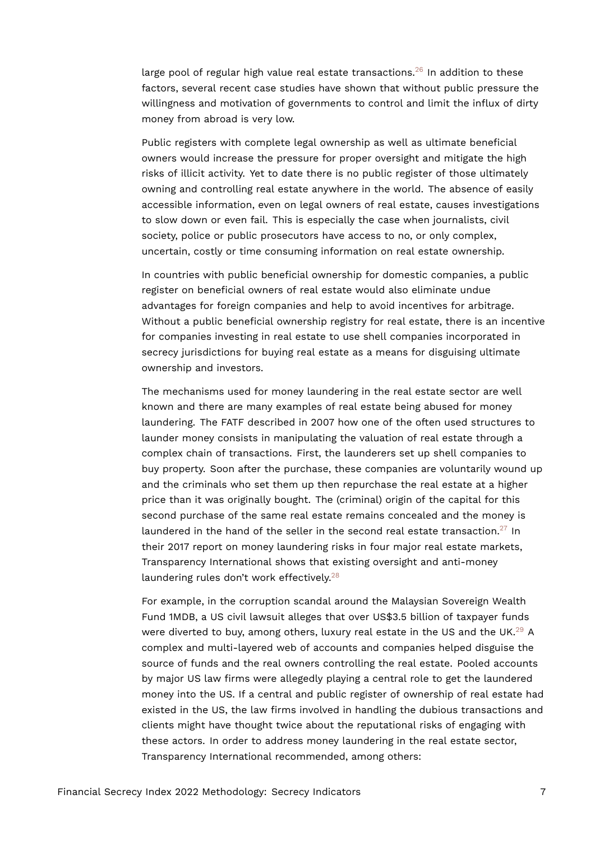<span id="page-6-0"></span>large pool of regular high value real estate transactions.<sup>[26](#page-19-2)</sup> In addition to these factors, several recent case studies have shown that without public pressure the willingness and motivation of governments to control and limit the influx of dirty money from abroad is very low.

Public registers with complete legal ownership as well as ultimate beneficial owners would increase the pressure for proper oversight and mitigate the high risks of illicit activity. Yet to date there is no public register of those ultimately owning and controlling real estate anywhere in the world. The absence of easily accessible information, even on legal owners of real estate, causes investigations to slow down or even fail. This is especially the case when journalists, civil society, police or public prosecutors have access to no, or only complex, uncertain, costly or time consuming information on real estate ownership.

In countries with public beneficial ownership for domestic companies, a public register on beneficial owners of real estate would also eliminate undue advantages for foreign companies and help to avoid incentives for arbitrage. Without a public beneficial ownership registry for real estate, there is an incentive for companies investing in real estate to use shell companies incorporated in secrecy jurisdictions for buying real estate as a means for disguising ultimate ownership and investors.

The mechanisms used for money laundering in the real estate sector are well known and there are many examples of real estate being abused for money laundering. The FATF described in 2007 how one of the often used structures to launder money consists in manipulating the valuation of real estate through a complex chain of transactions. First, the launderers set up shell companies to buy property. Soon after the purchase, these companies are voluntarily wound up and the criminals who set them up then repurchase the real estate at a higher price than it was originally bought. The (criminal) origin of the capital for this second purchase of the same real estate remains concealed and the money is laundered in the hand of the seller in the second real estate transaction.<sup>[27](#page-19-3)</sup> In their 2017 report on money laundering risks in four major real estate markets, Transparency International shows that existing oversight and anti-money laundering rules don't work effectively.<sup>[28](#page-19-4)</sup>

<span id="page-6-3"></span><span id="page-6-2"></span><span id="page-6-1"></span>For example, in the corruption scandal around the Malaysian Sovereign Wealth Fund 1MDB, a US civil lawsuit alleges that over US\$3.5 billion of taxpayer funds were diverted to buy, among others, luxury real estate in the US and the UK.<sup>[29](#page-19-5)</sup> A complex and multi-layered web of accounts and companies helped disguise the source of funds and the real owners controlling the real estate. Pooled accounts by major US law firms were allegedly playing a central role to get the laundered money into the US. If a central and public register of ownership of real estate had existed in the US, the law firms involved in handling the dubious transactions and clients might have thought twice about the reputational risks of engaging with these actors. In order to address money laundering in the real estate sector, Transparency International recommended, among others: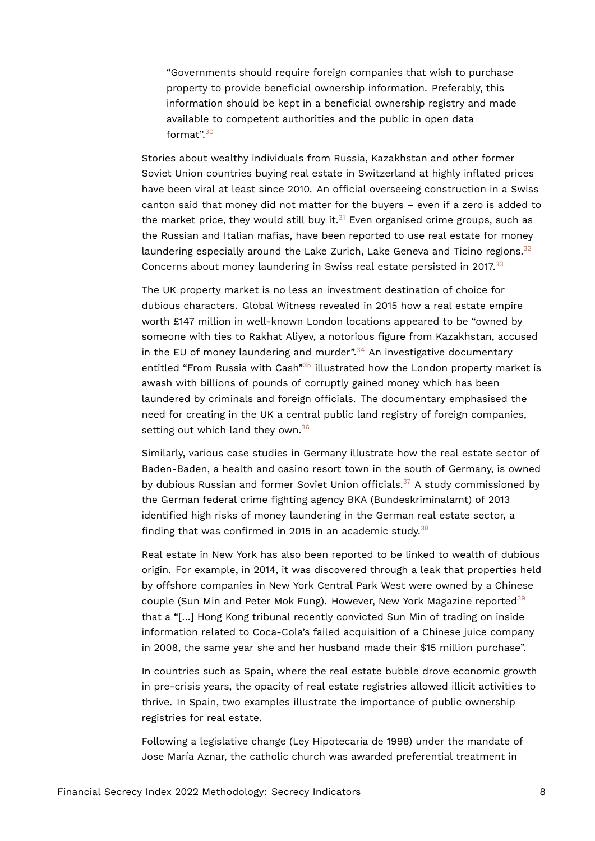"Governments should require foreign companies that wish to purchase property to provide beneficial ownership information. Preferably, this information should be kept in a beneficial ownership registry and made available to competent authorities and the public in open data format".[30](#page-19-6)

<span id="page-7-1"></span><span id="page-7-0"></span>Stories about wealthy individuals from Russia, Kazakhstan and other former Soviet Union countries buying real estate in Switzerland at highly inflated prices have been viral at least since 2010. An official overseeing construction in a Swiss canton said that money did not matter for the buyers – even if a zero is added to the market price, they would still buy it. $31$  Even organised crime groups, such as the Russian and Italian mafias, have been reported to use real estate for money laundering especially around the Lake Zurich, Lake Geneva and Ticino regions.<sup>[32](#page-19-8)</sup> Concerns about money laundering in Swiss real estate persisted in 2017.<sup>[33](#page-19-9)</sup>

<span id="page-7-5"></span><span id="page-7-4"></span><span id="page-7-3"></span><span id="page-7-2"></span>The UK property market is no less an investment destination of choice for dubious characters. Global Witness revealed in 2015 how a real estate empire worth £147 million in well-known London locations appeared to be "owned by someone with ties to Rakhat Aliyev, a notorious figure from Kazakhstan, accused in the EU of money laundering and murder".<sup>[34](#page-19-10)</sup> An investigative documentary entitled "From Russia with Cash"<sup>[35](#page-20-0)</sup> illustrated how the London property market is awash with billions of pounds of corruptly gained money which has been laundered by criminals and foreign officials. The documentary emphasised the need for creating in the UK a central public land registry of foreign companies, setting out which land they own.<sup>[36](#page-20-1)</sup>

<span id="page-7-7"></span><span id="page-7-6"></span>Similarly, various case studies in Germany illustrate how the real estate sector of Baden-Baden, a health and casino resort town in the south of Germany, is owned by dubious Russian and former Soviet Union officials.<sup>[37](#page-20-2)</sup> A study commissioned by the German federal crime fighting agency BKA (Bundeskriminalamt) of 2013 identified high risks of money laundering in the German real estate sector, a finding that was confirmed in 2015 in an academic study. $38$ 

<span id="page-7-9"></span><span id="page-7-8"></span>Real estate in New York has also been reported to be linked to wealth of dubious origin. For example, in 2014, it was discovered through a leak that properties held by offshore companies in New York Central Park West were owned by a Chinese couple (Sun Min and Peter Mok Fung). However, New York Magazine reported<sup>[39](#page-20-4)</sup> that a "[…] Hong Kong tribunal recently convicted Sun Min of trading on inside information related to Coca-Cola's failed acquisition of a Chinese juice company in 2008, the same year she and her husband made their \$15 million purchase".

In countries such as Spain, where the real estate bubble drove economic growth in pre-crisis years, the opacity of real estate registries allowed illicit activities to thrive. In Spain, two examples illustrate the importance of public ownership registries for real estate.

Following a legislative change (Ley Hipotecaria de 1998) under the mandate of Jose María Aznar, the catholic church was awarded preferential treatment in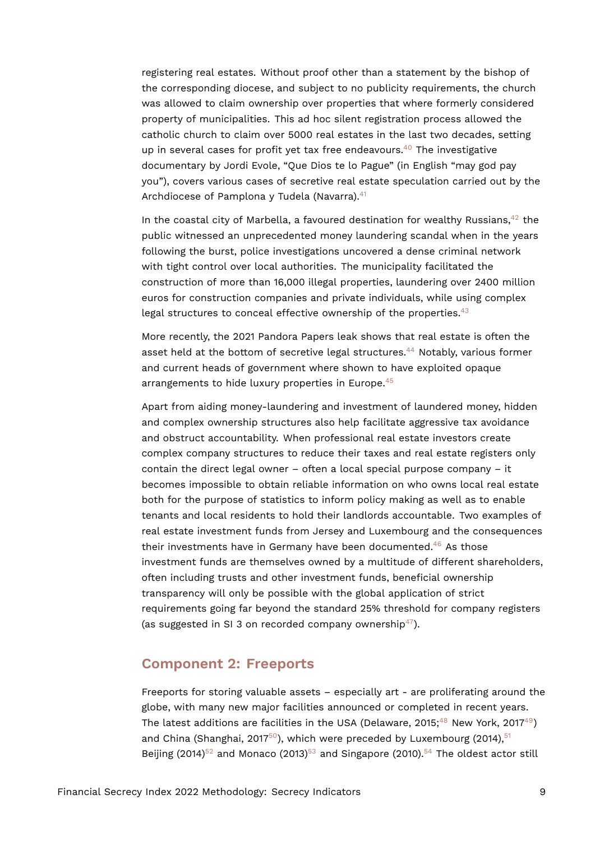registering real estates. Without proof other than a statement by the bishop of the corresponding diocese, and subject to no publicity requirements, the church was allowed to claim ownership over properties that where formerly considered property of municipalities. This ad hoc silent registration process allowed the catholic church to claim over 5000 real estates in the last two decades, setting up in several cases for profit yet tax free endeavours.<sup>[40](#page-20-5)</sup> The investigative documentary by Jordi Evole, "Que Dios te lo Pague" (in English "may god pay you"), covers various cases of secretive real estate speculation carried out by the Archdiocese of Pamplona y Tudela (Navarra).<sup>[41](#page-20-6)</sup>

<span id="page-8-2"></span><span id="page-8-1"></span><span id="page-8-0"></span>In the coastal city of Marbella, a favoured destination for wealthy Russians,  $42$  the public witnessed an unprecedented money laundering scandal when in the years following the burst, police investigations uncovered a dense criminal network with tight control over local authorities. The municipality facilitated the construction of more than 16,000 illegal properties, laundering over 2400 million euros for construction companies and private individuals, while using complex legal structures to conceal effective ownership of the properties. $43$ 

<span id="page-8-4"></span><span id="page-8-3"></span>More recently, the 2021 Pandora Papers leak shows that real estate is often the asset held at the bottom of secretive legal structures.[44](#page-20-9) Notably, various former and current heads of government where shown to have exploited opaque arrangements to hide luxury properties in Europe.<sup>[45](#page-20-10)</sup>

<span id="page-8-5"></span>Apart from aiding money-laundering and investment of laundered money, hidden and complex ownership structures also help facilitate aggressive tax avoidance and obstruct accountability. When professional real estate investors create complex company structures to reduce their taxes and real estate registers only contain the direct legal owner – often a local special purpose company – it becomes impossible to obtain reliable information on who owns local real estate both for the purpose of statistics to inform policy making as well as to enable tenants and local residents to hold their landlords accountable. Two examples of real estate investment funds from Jersey and Luxembourg and the consequences their investments have in Germany have been documented.[46](#page-20-11) As those investment funds are themselves owned by a multitude of different shareholders, often including trusts and other investment funds, beneficial ownership transparency will only be possible with the global application of strict requirements going far beyond the standard 25% threshold for company registers (as suggested in SI 3 on recorded company ownership<sup>[47](#page-21-0)</sup>).

## <span id="page-8-7"></span><span id="page-8-6"></span>**Component 2: Freeports**

<span id="page-8-14"></span><span id="page-8-13"></span><span id="page-8-12"></span><span id="page-8-11"></span><span id="page-8-10"></span><span id="page-8-9"></span><span id="page-8-8"></span>Freeports for storing valuable assets – especially art - are proliferating around the globe, with many new major facilities announced or completed in recent years. The latest additions are facilities in the USA (Delaware, 2015;<sup>[48](#page-21-1)</sup> New York, 2017<sup>[49](#page-21-2)</sup>) and China (Shanghai, 2017 $50$ ), which were preceded by Luxembourg (2014),  $51$ Beijing  $(2014)^{52}$  $(2014)^{52}$  $(2014)^{52}$  and Monaco  $(2013)^{53}$  $(2013)^{53}$  $(2013)^{53}$  and Singapore  $(2010).^{54}$  $(2010).^{54}$  $(2010).^{54}$  The oldest actor still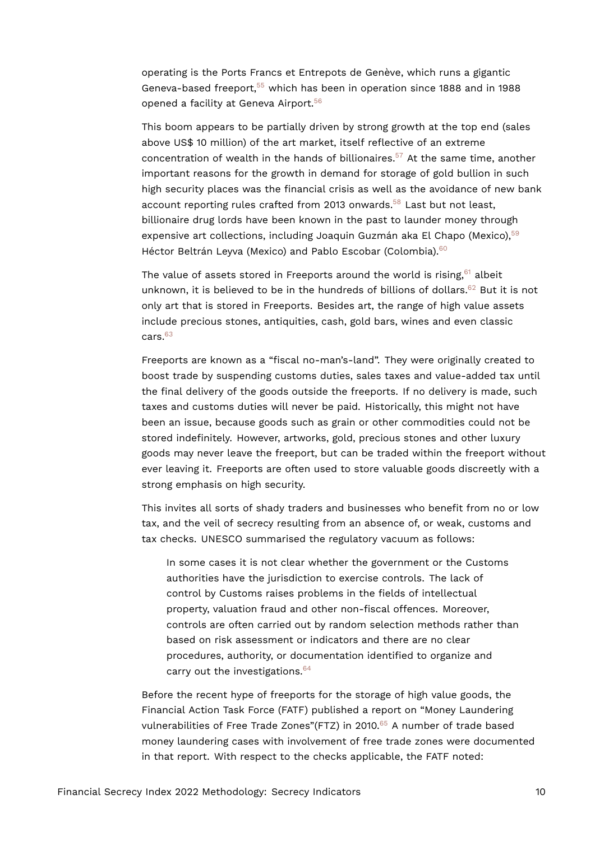<span id="page-9-0"></span>operating is the Ports Francs et Entrepots de Genève, which runs a gigantic Geneva-based freeport,[55](#page-21-8) which has been in operation since 1888 and in 1988 opened a facility at Geneva Airport.<sup>[56](#page-21-9)</sup>

<span id="page-9-2"></span><span id="page-9-1"></span>This boom appears to be partially driven by strong growth at the top end (sales above US\$ 10 million) of the art market, itself reflective of an extreme concentration of wealth in the hands of billionaires.<sup>[57](#page-21-10)</sup> At the same time, another important reasons for the growth in demand for storage of gold bullion in such high security places was the financial crisis as well as the avoidance of new bank account reporting rules crafted from 2013 onwards.<sup>[58](#page-21-11)</sup> Last but not least, billionaire drug lords have been known in the past to launder money through expensive art collections, including Joaquin Guzmán aka El Chapo (Mexico), [59](#page-22-0) Héctor Beltrán Leyva (Mexico) and Pablo Escobar (Colombia).<sup>[60](#page-22-1)</sup>

<span id="page-9-7"></span><span id="page-9-6"></span><span id="page-9-5"></span><span id="page-9-4"></span><span id="page-9-3"></span>The value of assets stored in Freeports around the world is rising,  $61$  albeit unknown, it is believed to be in the hundreds of billions of dollars. $62$  But it is not only art that is stored in Freeports. Besides art, the range of high value assets include precious stones, antiquities, cash, gold bars, wines and even classic cars.[63](#page-22-4)

<span id="page-9-8"></span>Freeports are known as a "fiscal no-man's-land". They were originally created to boost trade by suspending customs duties, sales taxes and value-added tax until the final delivery of the goods outside the freeports. If no delivery is made, such taxes and customs duties will never be paid. Historically, this might not have been an issue, because goods such as grain or other commodities could not be stored indefinitely. However, artworks, gold, precious stones and other luxury goods may never leave the freeport, but can be traded within the freeport without ever leaving it. Freeports are often used to store valuable goods discreetly with a strong emphasis on high security.

This invites all sorts of shady traders and businesses who benefit from no or low tax, and the veil of secrecy resulting from an absence of, or weak, customs and tax checks. UNESCO summarised the regulatory vacuum as follows:

In some cases it is not clear whether the government or the Customs authorities have the jurisdiction to exercise controls. The lack of control by Customs raises problems in the fields of intellectual property, valuation fraud and other non-fiscal offences. Moreover, controls are often carried out by random selection methods rather than based on risk assessment or indicators and there are no clear procedures, authority, or documentation identified to organize and carry out the investigations.<sup>[64](#page-22-5)</sup>

<span id="page-9-10"></span><span id="page-9-9"></span>Before the recent hype of freeports for the storage of high value goods, the Financial Action Task Force (FATF) published a report on "Money Laundering vulnerabilities of Free Trade Zones"(FTZ) in 2010.<sup>[65](#page-22-6)</sup> A number of trade based money laundering cases with involvement of free trade zones were documented in that report. With respect to the checks applicable, the FATF noted: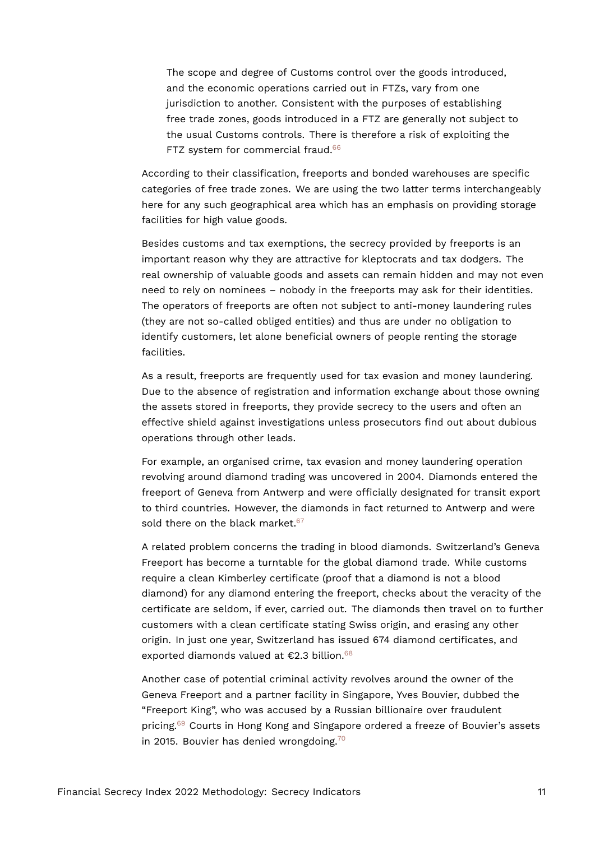<span id="page-10-0"></span>The scope and degree of Customs control over the goods introduced, and the economic operations carried out in FTZs, vary from one jurisdiction to another. Consistent with the purposes of establishing free trade zones, goods introduced in a FTZ are generally not subject to the usual Customs controls. There is therefore a risk of exploiting the FTZ system for commercial fraud.<sup>[66](#page-22-7)</sup>

According to their classification, freeports and bonded warehouses are specific categories of free trade zones. We are using the two latter terms interchangeably here for any such geographical area which has an emphasis on providing storage facilities for high value goods.

Besides customs and tax exemptions, the secrecy provided by freeports is an important reason why they are attractive for kleptocrats and tax dodgers. The real ownership of valuable goods and assets can remain hidden and may not even need to rely on nominees – nobody in the freeports may ask for their identities. The operators of freeports are often not subject to anti-money laundering rules (they are not so-called obliged entities) and thus are under no obligation to identify customers, let alone beneficial owners of people renting the storage facilities.

As a result, freeports are frequently used for tax evasion and money laundering. Due to the absence of registration and information exchange about those owning the assets stored in freeports, they provide secrecy to the users and often an effective shield against investigations unless prosecutors find out about dubious operations through other leads.

For example, an organised crime, tax evasion and money laundering operation revolving around diamond trading was uncovered in 2004. Diamonds entered the freeport of Geneva from Antwerp and were officially designated for transit export to third countries. However, the diamonds in fact returned to Antwerp and were sold there on the black market.<sup>[67](#page-22-8)</sup>

<span id="page-10-1"></span>A related problem concerns the trading in blood diamonds. Switzerland's Geneva Freeport has become a turntable for the global diamond trade. While customs require a clean Kimberley certificate (proof that a diamond is not a blood diamond) for any diamond entering the freeport, checks about the veracity of the certificate are seldom, if ever, carried out. The diamonds then travel on to further customers with a clean certificate stating Swiss origin, and erasing any other origin. In just one year, Switzerland has issued 674 diamond certificates, and exported diamonds valued at  $$2.3$  billion.<sup>[68](#page-22-9)</sup>

<span id="page-10-4"></span><span id="page-10-3"></span><span id="page-10-2"></span>Another case of potential criminal activity revolves around the owner of the Geneva Freeport and a partner facility in Singapore, Yves Bouvier, dubbed the "Freeport King", who was accused by a Russian billionaire over fraudulent pricing.[69](#page-22-10) Courts in Hong Kong and Singapore ordered a freeze of Bouvier's assets in 2015. Bouvier has denied wrongdoing. $70$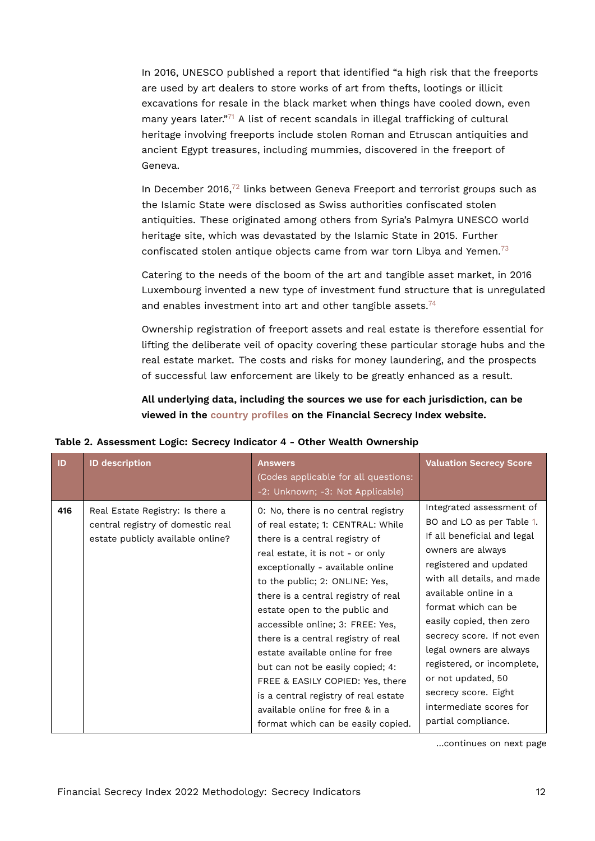<span id="page-11-1"></span>In 2016, UNESCO published a report that identified "a high risk that the freeports are used by art dealers to store works of art from thefts, lootings or illicit excavations for resale in the black market when things have cooled down, even many years later."<sup>[71](#page-22-12)</sup> A list of recent scandals in illegal trafficking of cultural heritage involving freeports include stolen Roman and Etruscan antiquities and ancient Egypt treasures, including mummies, discovered in the freeport of Geneva.

<span id="page-11-2"></span>In December 2016,<sup>[72](#page-22-13)</sup> links between Geneva Freeport and terrorist groups such as the Islamic State were disclosed as Swiss authorities confiscated stolen antiquities. These originated among others from Syria's Palmyra UNESCO world heritage site, which was devastated by the Islamic State in 2015. Further confiscated stolen antique objects came from war torn Libya and Yemen.<sup>[73](#page-23-0)</sup>

<span id="page-11-3"></span>Catering to the needs of the boom of the art and tangible asset market, in 2016 Luxembourg invented a new type of investment fund structure that is unregulated and enables investment into art and other tangible assets.<sup>[74](#page-23-1)</sup>

<span id="page-11-4"></span>Ownership registration of freeport assets and real estate is therefore essential for lifting the deliberate veil of opacity covering these particular storage hubs and the real estate market. The costs and risks for money laundering, and the prospects of successful law enforcement are likely to be greatly enhanced as a result.

<span id="page-11-0"></span>**All underlying data, including the sources we use for each jurisdiction, can be viewed in the [country profiles](https://fsi.taxjustice.net/country-detail) on the Financial Secrecy Index website.**

| ID  | <b>ID description</b>                                                                                      | <b>Answers</b><br>(Codes applicable for all questions:<br>-2: Unknown; -3: Not Applicable)                                                                                                                                                                                                                                                                                                                                                                                                                                                                                                            | <b>Valuation Secrecy Score</b>                                                                                                                                                                                                                                                                                                                                                                                                       |
|-----|------------------------------------------------------------------------------------------------------------|-------------------------------------------------------------------------------------------------------------------------------------------------------------------------------------------------------------------------------------------------------------------------------------------------------------------------------------------------------------------------------------------------------------------------------------------------------------------------------------------------------------------------------------------------------------------------------------------------------|--------------------------------------------------------------------------------------------------------------------------------------------------------------------------------------------------------------------------------------------------------------------------------------------------------------------------------------------------------------------------------------------------------------------------------------|
| 416 | Real Estate Registry: Is there a<br>central registry of domestic real<br>estate publicly available online? | 0: No, there is no central registry<br>of real estate; 1: CENTRAL: While<br>there is a central registry of<br>real estate, it is not - or only<br>exceptionally - available online<br>to the public; 2: ONLINE: Yes,<br>there is a central registry of real<br>estate open to the public and<br>accessible online; 3: FREE: Yes,<br>there is a central registry of real<br>estate available online for free<br>but can not be easily copied; 4:<br>FREE & EASILY COPIED: Yes, there<br>is a central registry of real estate<br>available online for free & in a<br>format which can be easily copied. | Integrated assessment of<br>BO and LO as per Table 1.<br>If all beneficial and legal<br>owners are always<br>registered and updated<br>with all details, and made<br>available online in a<br>format which can be<br>easily copied, then zero<br>secrecy score. If not even<br>legal owners are always<br>registered, or incomplete,<br>or not updated, 50<br>secrecy score. Eight<br>intermediate scores for<br>partial compliance. |

**Table 2. Assessment Logic: Secrecy Indicator 4 - Other Wealth Ownership**

…continues on next page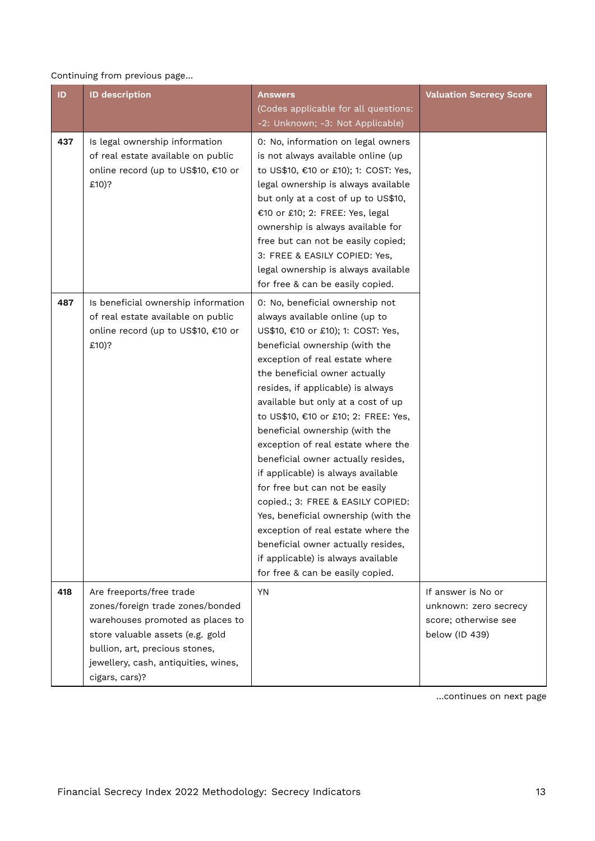### Continuing from previous page…

| ID  | <b>ID description</b>                                                                                                                                                                                                            | Answers<br>(Codes applicable for all questions:<br>-2: Unknown; -3: Not Applicable)                                                                                                                                                                                                                                                                                                                                                                                                                                                                                                                                                                                                                                                                     | <b>Valuation Secrecy Score</b>                                                        |
|-----|----------------------------------------------------------------------------------------------------------------------------------------------------------------------------------------------------------------------------------|---------------------------------------------------------------------------------------------------------------------------------------------------------------------------------------------------------------------------------------------------------------------------------------------------------------------------------------------------------------------------------------------------------------------------------------------------------------------------------------------------------------------------------------------------------------------------------------------------------------------------------------------------------------------------------------------------------------------------------------------------------|---------------------------------------------------------------------------------------|
| 437 | Is legal ownership information<br>of real estate available on public<br>online record (up to US\$10, €10 or<br>£10)?                                                                                                             | 0: No, information on legal owners<br>is not always available online (up<br>to US\$10, €10 or £10); 1: COST: Yes,<br>legal ownership is always available<br>but only at a cost of up to US\$10,<br>€10 or £10; 2: FREE: Yes, legal<br>ownership is always available for<br>free but can not be easily copied;<br>3: FREE & EASILY COPIED: Yes,<br>legal ownership is always available<br>for free & can be easily copied.                                                                                                                                                                                                                                                                                                                               |                                                                                       |
| 487 | Is beneficial ownership information<br>of real estate available on public<br>online record (up to US\$10, €10 or<br>£10)?                                                                                                        | 0: No, beneficial ownership not<br>always available online (up to<br>US\$10, €10 or £10); 1: COST: Yes,<br>beneficial ownership (with the<br>exception of real estate where<br>the beneficial owner actually<br>resides, if applicable) is always<br>available but only at a cost of up<br>to US\$10, €10 or £10; 2: FREE: Yes,<br>beneficial ownership (with the<br>exception of real estate where the<br>beneficial owner actually resides,<br>if applicable) is always available<br>for free but can not be easily<br>copied.; 3: FREE & EASILY COPIED:<br>Yes, beneficial ownership (with the<br>exception of real estate where the<br>beneficial owner actually resides,<br>if applicable) is always available<br>for free & can be easily copied. |                                                                                       |
| 418 | Are freeports/free trade<br>zones/foreign trade zones/bonded<br>warehouses promoted as places to<br>store valuable assets (e.g. gold<br>bullion, art, precious stones,<br>jewellery, cash, antiquities, wines,<br>cigars, cars)? | <b>YN</b>                                                                                                                                                                                                                                                                                                                                                                                                                                                                                                                                                                                                                                                                                                                                               | If answer is No or<br>unknown: zero secrecy<br>score; otherwise see<br>below (ID 439) |

…continues on next page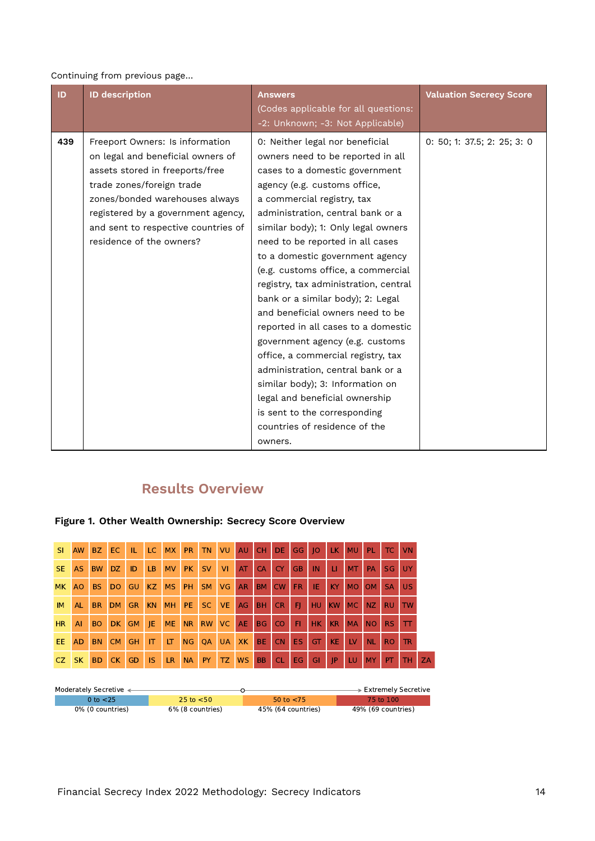#### Continuing from previous page…

| ID  | <b>ID description</b>                                                                                                                                                                                                                                                           | <b>Answers</b><br>(Codes applicable for all questions:<br>-2: Unknown; -3: Not Applicable)                                                                                                                                                                                                                                                                                                                                                                                                                                                                                                                                                                                                                                                                                             | <b>Valuation Secrecy Score</b> |
|-----|---------------------------------------------------------------------------------------------------------------------------------------------------------------------------------------------------------------------------------------------------------------------------------|----------------------------------------------------------------------------------------------------------------------------------------------------------------------------------------------------------------------------------------------------------------------------------------------------------------------------------------------------------------------------------------------------------------------------------------------------------------------------------------------------------------------------------------------------------------------------------------------------------------------------------------------------------------------------------------------------------------------------------------------------------------------------------------|--------------------------------|
| 439 | Freeport Owners: Is information<br>on legal and beneficial owners of<br>assets stored in freeports/free<br>trade zones/foreign trade<br>zones/bonded warehouses always<br>registered by a government agency,<br>and sent to respective countries of<br>residence of the owners? | 0: Neither legal nor beneficial<br>owners need to be reported in all<br>cases to a domestic government<br>agency (e.g. customs office,<br>a commercial registry, tax<br>administration, central bank or a<br>similar body); 1: Only legal owners<br>need to be reported in all cases<br>to a domestic government agency<br>(e.g. customs office, a commercial<br>registry, tax administration, central<br>bank or a similar body); 2: Legal<br>and beneficial owners need to be<br>reported in all cases to a domestic<br>government agency (e.g. customs<br>office, a commercial registry, tax<br>administration, central bank or a<br>similar body); 3: Information on<br>legal and beneficial ownership<br>is sent to the corresponding<br>countries of residence of the<br>owners. | 0: 50; 1: 37.5; 2: 25; 3: 0    |

# **Results Overview**



## **Figure 1. Other Wealth Ownership: Secrecy Score Overview**

| Moderately Secretive $\triangleleft$ |                  |                    | ► Extremely Secretive |
|--------------------------------------|------------------|--------------------|-----------------------|
| 0 to <25.                            | 25 to $<$ 50     | 50 to $<$ 75       | 75 to 100             |
| 0% (0 countries)                     | 6% (8 countries) | 45% (64 countries) | 49% (69 countries)    |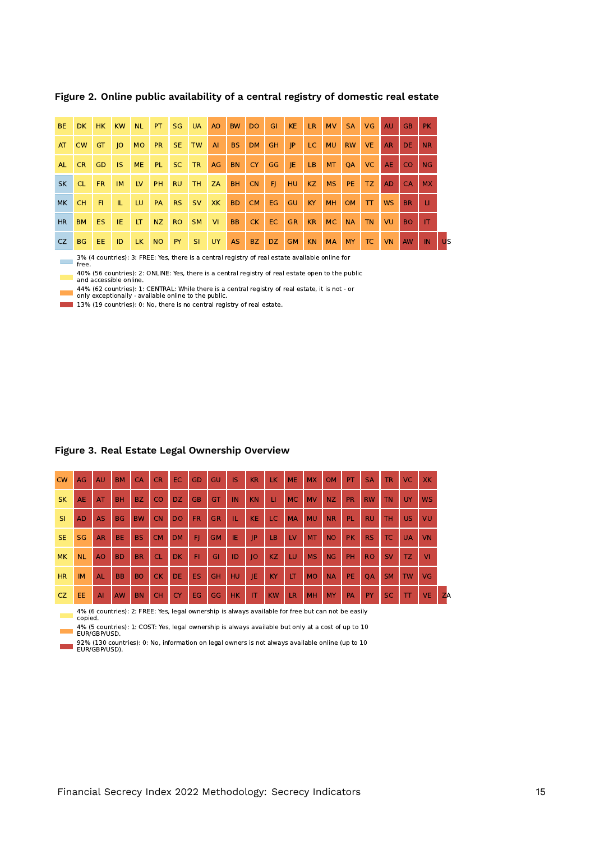| BE.       | DK.       | HK.       | <b>KW</b>   | <b>NL</b> | PT.       | <b>SG</b> | <b>UA</b>      | <b>AO</b> | <b>BW</b> | D <sub>O</sub> | GI  | KE <sup>1</sup> | LR.            | <b>MV</b> | <b>SA</b> | VG.       | <b>AU</b> | GB.       | <b>PK</b> |           |
|-----------|-----------|-----------|-------------|-----------|-----------|-----------|----------------|-----------|-----------|----------------|-----|-----------------|----------------|-----------|-----------|-----------|-----------|-----------|-----------|-----------|
| AT        | <b>CW</b> | <b>GT</b> | $ 0\rangle$ | <b>MO</b> | PR.       | SE.       | TW             | AI        | <b>BS</b> | <b>DM</b>      | GH. | P               | LC.            | <b>MU</b> | <b>RW</b> | VE.       | <b>AR</b> | DE.       | <b>NR</b> |           |
| <b>AL</b> | CR.       | <b>GD</b> | IS.         | ME.       | PL.       | SC.       | <b>TR</b>      | AG        | <b>BN</b> | CY.            | GG  | -JE             | LB             | <b>MT</b> | <b>OA</b> | VC.       | <b>AE</b> | CO.       | <b>NG</b> |           |
| <b>SK</b> | CL.       | <b>FR</b> | <b>IM</b>   | <b>LV</b> | <b>PH</b> | <b>RU</b> | TH <sub></sub> | ZA        | <b>BH</b> | <b>CN</b>      | F   | HU              | <b>KZ</b>      | <b>MS</b> | PE.       | TZ.       | AD.       | <b>CA</b> | <b>MX</b> |           |
| <b>MK</b> | <b>CH</b> | -FI.      | Щ.          | LU        | <b>PA</b> | RS.       | <b>SV</b>      | <b>XK</b> | <b>BD</b> | <b>CM</b>      | EG  | <b>GU</b>       | KY <sub></sub> | <b>MH</b> | <b>OM</b> | $\top$    | <b>WS</b> | BR.       | u         |           |
| <b>HR</b> | <b>BM</b> | ES.       | IE.         | LT.       | NZ        | RO.       | <b>SM</b>      | <b>VI</b> | <b>BB</b> | <b>CK</b>      | EC. | <b>GR</b>       | <b>KR</b>      | <b>MC</b> | <b>NA</b> | <b>TN</b> | VU        | <b>BO</b> | IT.       |           |
| CZ        | BG.       | EE.       | ID          | LK.       | NO        | PY        | -SI            | <b>UY</b> | <b>AS</b> | BZ             | DZ  | GM              | KN.            | <b>MA</b> | <b>MY</b> | TC.       | <b>VN</b> | <b>AW</b> | IN        | <b>US</b> |

**Figure 2. Online public availability of a central registry of domestic real estate**

3% (4 countries): 3: FREE: Yes, there is a central registry of real estate available online for free.

40% (56 countries): 2: ONLINE: Yes, there is a central registry of real estate open to the public and accessible online.

44% (62 countries): 1: CENTRAL: While there is a central registry of real estate, it is not - or only exceptionally - available online to the public.

13% (19 countries): 0: No, there is no central registry of real estate.

| <b>CW</b> | AG                                                                                                            | AU             | <b>BM</b> | <b>CA</b> | <b>CR</b> | EC.       | GD        | GU        | IS        | <b>KR</b>   | LK.       | <b>ME</b> | <b>MX</b> | <b>OM</b> | PT        | <b>SA</b> | <b>TR</b> | <b>VC</b>    | <b>XK</b> |    |
|-----------|---------------------------------------------------------------------------------------------------------------|----------------|-----------|-----------|-----------|-----------|-----------|-----------|-----------|-------------|-----------|-----------|-----------|-----------|-----------|-----------|-----------|--------------|-----------|----|
| <b>SK</b> | <b>AE</b>                                                                                                     | AT             | <b>BH</b> | <b>BZ</b> | CO        | <b>DZ</b> | <b>GB</b> | GT        | IN        | <b>KN</b>   | П         | <b>MC</b> | <b>MV</b> | <b>NZ</b> | <b>PR</b> | <b>RW</b> | <b>TN</b> | UY           | <b>WS</b> |    |
| <b>SI</b> | <b>AD</b>                                                                                                     | <b>AS</b>      | <b>BG</b> | <b>BW</b> | <b>CN</b> | <b>DO</b> | <b>FR</b> | <b>GR</b> | IL.       | <b>KE</b>   | LC        | <b>MA</b> | <b>MU</b> | <b>NR</b> | <b>PL</b> | <b>RU</b> | <b>TH</b> | <b>US</b>    | VU        |    |
| <b>SE</b> | <b>SG</b>                                                                                                     | <b>AR</b>      | <b>BE</b> | <b>BS</b> | <b>CM</b> | <b>DM</b> | F         | <b>GM</b> | IE        | IP          | LB        | LV.       | <b>MT</b> | <b>NO</b> | <b>PK</b> | RS.       | TC.       | <b>UA</b>    | <b>VN</b> |    |
| <b>MK</b> | <b>NL</b>                                                                                                     | A <sub>O</sub> | <b>BD</b> | <b>BR</b> | <b>CL</b> | <b>DK</b> | FI.       | GI        | ID        | $ O\rangle$ | <b>KZ</b> | LU        | <b>MS</b> | NG        | PH        | <b>RO</b> | <b>SV</b> | <b>TZ</b>    | VI        |    |
| <b>HR</b> | <b>IM</b>                                                                                                     | <b>AL</b>      | <b>BB</b> | <b>BO</b> | <b>CK</b> | DE.       | <b>ES</b> | GH        | HU        | IE          | KY        | LT        | <b>MO</b> | <b>NA</b> | <b>PE</b> | <b>OA</b> | <b>SM</b> | <b>TW</b>    | VG        |    |
| <b>CZ</b> | EE.                                                                                                           | $\overline{A}$ | <b>AW</b> | <b>BN</b> | <b>CH</b> | <b>CY</b> | EG        | GG        | <b>HK</b> | IT          | <b>KW</b> | <b>LR</b> | MH        | <b>MY</b> | PA        | PY        | <b>SC</b> | $\mathbf{T}$ | <b>VE</b> | ZA |
|           | 4% (6 countries): 2: FREE: Yes, legal ownership is always available for free but can not be easily<br>copied. |                |           |           |           |           |           |           |           |             |           |           |           |           |           |           |           |              |           |    |

#### **Figure 3. Real Estate Legal Ownership Overview**

4% (5 countries): 1: COST: Yes, legal ownership is always available but only at a cost of up to 10 EUR/GBP/USD.

92% (130 countries): 0: No, information on legal owners is not always available online (up to 10 EUR/GBP/USD). ۰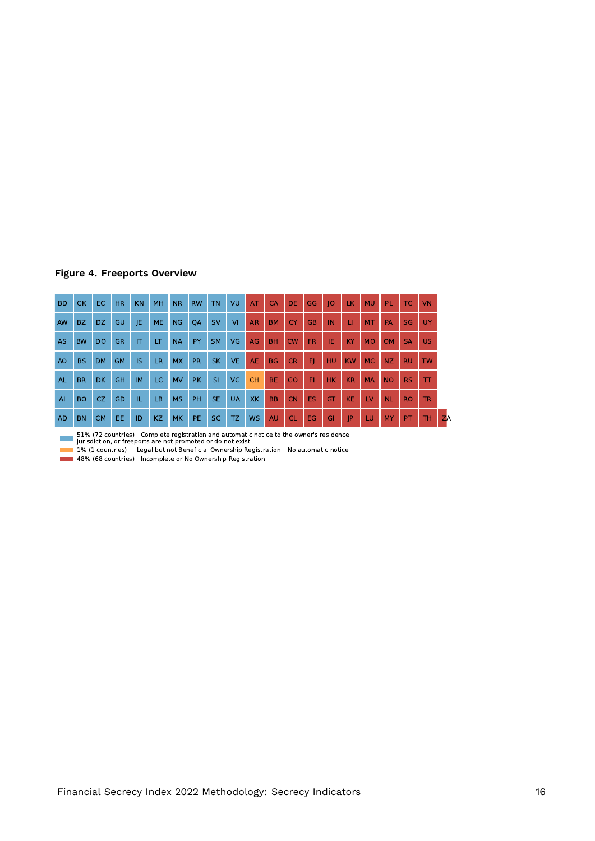### **Figure 4. Freeports Overview**

| <b>BD</b>      | <b>CK</b> | <b>EC</b>      | HR.       | <b>KN</b> | MH        | NR.       | <b>RW</b> | <b>TN</b> | VU        | AT        | CA        | <b>DE</b> | GG        | O         | <b>LK</b> | <b>MU</b> | PL.            | TC.       | <b>VN</b> |    |
|----------------|-----------|----------------|-----------|-----------|-----------|-----------|-----------|-----------|-----------|-----------|-----------|-----------|-----------|-----------|-----------|-----------|----------------|-----------|-----------|----|
| <b>AW</b>      | BZ        | DZ.            | GU        | JE        | <b>ME</b> | <b>NG</b> | QA        | <b>SV</b> | VI        | <b>AR</b> | <b>BM</b> | <b>CY</b> | <b>GB</b> | IN        | п         | <b>MT</b> | <b>PA</b>      | <b>SG</b> | <b>UY</b> |    |
| <b>AS</b>      | <b>BW</b> | D <sub>O</sub> | <b>GR</b> | IT        | LT        | <b>NA</b> | PY        | <b>SM</b> | <b>VG</b> | AG        | <b>BH</b> | CW        | <b>FR</b> | IE.       | KY.       | <b>MO</b> | <b>OM</b>      | <b>SA</b> | <b>US</b> |    |
| A <sub>O</sub> | BS.       | <b>DM</b>      | <b>GM</b> | IS.       | <b>LR</b> | <b>MX</b> | <b>PR</b> | <b>SK</b> | <b>VE</b> | <b>AE</b> | BG        | <b>CR</b> | F)        | <b>HU</b> | <b>KW</b> | <b>MC</b> | N <sub>Z</sub> | <b>RU</b> | <b>TW</b> |    |
| <b>AL</b>      | <b>BR</b> | <b>DK</b>      | <b>GH</b> | <b>IM</b> | LC.       | <b>MV</b> | <b>PK</b> | SI        | VC.       | <b>CH</b> | BE.       | <b>CO</b> | F1        | <b>HK</b> | KR        | <b>MA</b> | <b>NO</b>      | <b>RS</b> | $\top$    |    |
| AI             | <b>BO</b> | CZ.            | GD        | IL.       | LB.       | <b>MS</b> | <b>PH</b> | <b>SE</b> | <b>UA</b> | XK.       | <b>BB</b> | <b>CN</b> | <b>ES</b> | GT        | <b>KE</b> | <b>LV</b> | <b>NL</b>      | <b>RO</b> | <b>TR</b> |    |
| <b>AD</b>      | <b>BN</b> | <b>CM</b>      | EE        | ID        | KZ        | <b>MK</b> | PE.       | <b>SC</b> | TZ.       | <b>WS</b> | AU        | <b>CL</b> | EG        | GI        | IP        | <b>LU</b> | <b>MY</b>      | PT        | <b>TH</b> | ZA |

51% (72 countries) Complete registration and automatic notice to the owner's residence jurisdiction, or freeports are not promoted or do not exist

1% (1 countries) Legal but not Beneficial Ownership Registration - No automatic notice

48% (68 countries) Incomplete or No Ownership Registration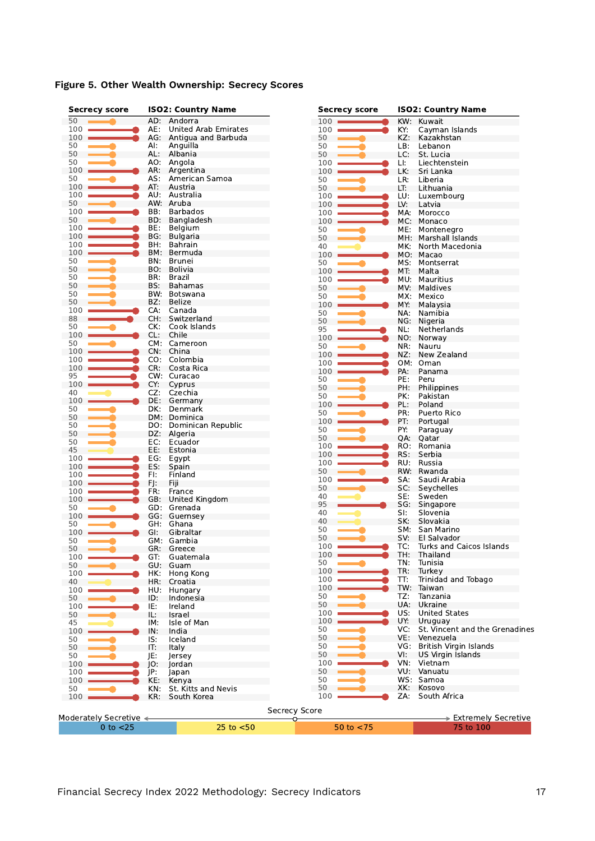|  |  |  | Figure 5. Other Wealth Ownership: Secrecy Scores |  |  |
|--|--|--|--------------------------------------------------|--|--|
|--|--|--|--------------------------------------------------|--|--|

| <b>Secrecy score</b>   |     | <b>ISO2: Country Name</b>   | <b>Secrecy score</b> | <b>ISO2: Country Name</b> |                                |  |  |
|------------------------|-----|-----------------------------|----------------------|---------------------------|--------------------------------|--|--|
| 50                     |     | AD: Andorra                 | 100                  | KW:                       | Kuwait                         |  |  |
| 100                    | AE: | <b>United Arab Emirates</b> | 100                  | KY:                       | Cayman Islands                 |  |  |
| 100                    | AG: | Antigua and Barbuda         | 50                   | KZ:                       | Kazakhstan                     |  |  |
| 50                     | Al: | Anguilla                    | 50                   | LB:                       | Lebanon                        |  |  |
| 50                     | AL: | Albania                     | 50                   | LC:                       | St. Lucia                      |  |  |
| 50                     | AO: | Angola                      | 100                  | LI:                       | Liechtenstein                  |  |  |
| 100                    | AR: | Argentina                   | 100                  | LK:                       | Sri Lanka                      |  |  |
| 50                     | AS: | American Samoa              | 50                   | LR:                       | Liberia                        |  |  |
| 100                    | AT: | Austria                     | 50                   | LT:                       | Lithuania                      |  |  |
| 100                    | AU: | Australia                   | 100                  | LU:                       | Luxembourg                     |  |  |
| 50                     |     | AW: Aruba                   | 100                  | LV:                       | Latvia                         |  |  |
| 100                    | BB: | <b>Barbados</b>             | 100                  | MA:                       | Morocco                        |  |  |
| 50                     | BD: | Bangladesh                  | 100                  | MC:                       | Monaco                         |  |  |
| 100                    | BE: | Belgium                     | 50                   | ME:                       | Montenegro                     |  |  |
| 100                    | BG: | Bulgaria                    | 50                   | MH:                       | Marshall Islands               |  |  |
| 100                    | BH: | Bahrain                     | 40                   | MK.                       | North Macedonia                |  |  |
| 100                    |     | BM: Bermuda                 | 100                  |                           | MO: Macao                      |  |  |
| 50                     | BN. | Brunei                      | 50                   | MS:                       | Montserrat                     |  |  |
| 50                     | BO: | Bolivia                     | 100                  | MT.                       | Malta                          |  |  |
| 50                     | BR: | Brazil                      | 100                  | MU:                       | Mauritius                      |  |  |
| 50                     | BS: | <b>Bahamas</b>              |                      |                           |                                |  |  |
| 50                     | BW: | Botswana                    | 50                   | MV.                       | Maldives                       |  |  |
| 50                     | BZ: | Belize                      | 50                   | MX:                       | Mexico                         |  |  |
| 100                    | CA: | Canada                      | 100                  | MY:                       | Malaysia                       |  |  |
| 88                     | CH: | Switzerland                 | 50                   | NA:                       | Namibia                        |  |  |
| 50                     | CK: | Cook Islands                | 50                   | NG:                       | Nigeria                        |  |  |
| 100                    | CL: | Chile                       | 95                   | NL:                       | Netherlands                    |  |  |
| 50                     |     | CM: Cameroon                | 100                  | NO:                       | Norway                         |  |  |
| 100                    | CN: | China                       | 50                   | NR:                       | Nauru                          |  |  |
|                        | CO: | Colombia                    | 100                  | NZ:                       | New Zealand                    |  |  |
| 100                    | CR: |                             | 100                  | OM:                       | Oman                           |  |  |
| 100                    |     | Costa Rica                  | 100                  | PA:                       | Panama                         |  |  |
| 95                     |     | CW: Curacao                 | 50                   | PE:                       | Peru                           |  |  |
| 100                    | CY: | Cyprus                      | 50                   | PH:                       | Philippines                    |  |  |
| 40                     | CZ: | Czechia                     | 50                   | PK:                       | Pakistan                       |  |  |
| 100                    | DE: | Germany                     | 100                  | PL:                       | Poland                         |  |  |
| 50                     | DK: | Denmark                     | 50                   | PR:                       | Puerto Rico                    |  |  |
| 50                     |     | DM: Dominica                | 100                  | PT:                       | Portugal                       |  |  |
| 50                     | DO: | Dominican Republic          | 50                   | PY:                       | Paraguay                       |  |  |
| 50                     | DZ: | Algeria                     | 50                   | QA:                       | Qatar                          |  |  |
| 50                     | EC: | Ecuador                     | 100                  | RO:                       | Romania                        |  |  |
| 45                     | EE: | Estonia                     | 100                  | RS:                       | Serbia                         |  |  |
| 100                    | EG: | Egypt                       | 100                  | RU:                       | Russia                         |  |  |
| 100                    | ES: | Spain                       | 50                   | RW:                       | Rwanda                         |  |  |
| 100                    | FI: | Finland                     | 100                  | SA:                       | Saudi Arabia                   |  |  |
| 100                    | FJ: | Fiji                        | 50                   | SC:                       | Seychelles                     |  |  |
| 100                    | FR: | France                      | 40                   | SE:                       | Sweden                         |  |  |
| 100                    | GB: | United Kingdom              | 95                   |                           |                                |  |  |
| 50                     |     | GD: Grenada                 |                      | SG:                       | Singapore                      |  |  |
| 100                    |     | GG: Guernsey                | 40                   | SI:                       | Slovenia                       |  |  |
| 50                     | GH. | Ghana                       | 40                   | SK:                       | Slovakia                       |  |  |
| 100                    | GI. | Gibraltar                   | 50                   | SM:                       | San Marino                     |  |  |
| 50                     |     | GM: Gambia                  | 50                   | SV:                       | El Salvador                    |  |  |
| 50                     | GR. | Greece                      | 100                  | TC:                       | Turks and Caicos Islands       |  |  |
| 100                    | GT: | Guatemala                   | 100                  | IH:                       | <b>Thailand</b>                |  |  |
| 50                     | GU: | Guam                        | 50                   | TN:                       | Tunisia                        |  |  |
| 100                    | HK: | Hong Kong                   | 100                  | TR:                       | Turkey                         |  |  |
| 40                     | HR: | Croatia                     | 100                  | TT:                       | Trinidad and Tobago            |  |  |
| 100                    | HU: | Hungary                     | 100                  | TW:                       | Taiwan                         |  |  |
| 50                     | ID: | Indonesia                   | 50                   | TZ:                       | Tanzania                       |  |  |
| 100                    | IE: | Ireland                     | 50                   | UA:                       | Ukraine                        |  |  |
| 50                     | IL: | Israel                      | 100                  | US:                       | <b>United States</b>           |  |  |
| 45                     | IM: | Isle of Man                 | 100                  | UY:                       | Uruguay                        |  |  |
| 100                    | IN: | India                       | 50                   | VC:                       | St. Vincent and the Grenadines |  |  |
| 50                     | IS: | Iceland                     | 50                   | VE:                       | Venezuela                      |  |  |
| 50                     | IT: | Italy                       | 50                   | VG:                       | British Virgin Islands         |  |  |
| 50                     | JE: | lersey                      | 50                   | VI:                       | <b>US Virgin Islands</b>       |  |  |
|                        |     |                             | 100                  | VN:                       | Vietnam                        |  |  |
| 100                    | IO: | Jordan                      | 50                   | VU:                       | Vanuatu                        |  |  |
| 100                    | JP: | Japan                       |                      |                           | WS: Samoa                      |  |  |
| 100                    | KE: | Kenya                       | 50                   |                           |                                |  |  |
| 50                     | KN: | St. Kitts and Nevis         | 50                   | XK:                       | Kosovo                         |  |  |
| 100                    | KR: | South Korea                 | 100                  | ZA:                       | South Africa                   |  |  |
|                        |     |                             | <b>Secrecy Score</b> |                           |                                |  |  |
| Moderately Secretive < |     |                             | ◡                    |                           | > Extremely Secretive          |  |  |
| $0$ to $<$ 25          |     | $25$ to $< 50$              | 50 to $<$ 75         |                           | 75 to 100                      |  |  |
|                        |     |                             |                      |                           |                                |  |  |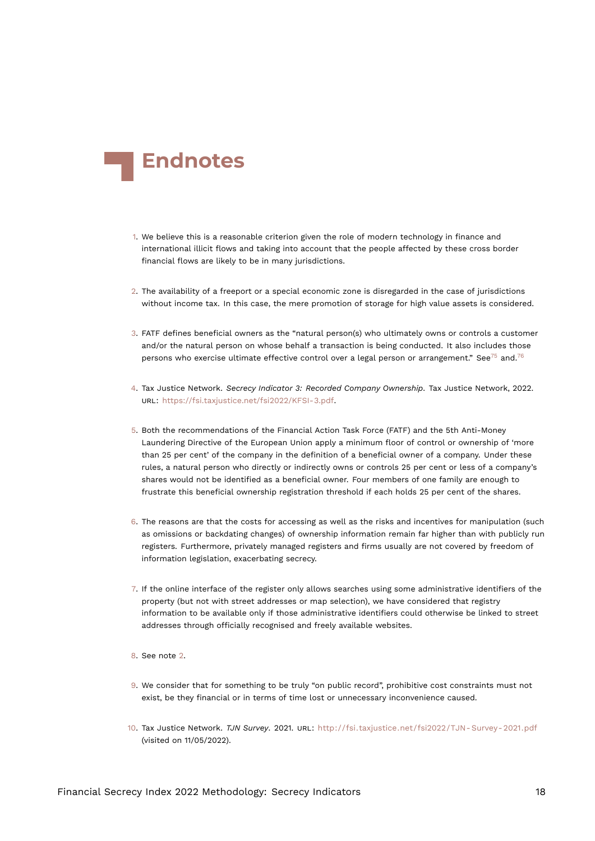<span id="page-17-15"></span>

- <span id="page-17-0"></span>[1.](#page-0-0) We believe this is a reasonable criterion given the role of modern technology in finance and international illicit flows and taking into account that the people affected by these cross border financial flows are likely to be in many jurisdictions.
- <span id="page-17-1"></span>[2.](#page-0-1) The availability of a freeport or a special economic zone is disregarded in the case of jurisdictions without income tax. In this case, the mere promotion of storage for high value assets is considered.
- <span id="page-17-14"></span><span id="page-17-13"></span><span id="page-17-10"></span><span id="page-17-2"></span>[3.](#page-0-2) FATF defines beneficial owners as the "natural person(s) who ultimately owns or controls a customer and/or the natural person on whose behalf a transaction is being conducted. It also includes those persons who exercise ultimate effective control over a legal person or arrangement." See<sup>[75](#page-23-2)</sup> and.<sup>[76](#page-23-3)</sup>
- <span id="page-17-12"></span><span id="page-17-3"></span>[4.](#page-1-0) Tax Justice Network. *Secrecy Indicator 3: Recorded Company Ownership*. Tax Justice Network, 2022. URL: <https://fsi.taxjustice.net/fsi2022/KFSI-3.pdf>.
- <span id="page-17-4"></span>[5.](#page-1-1) Both the recommendations of the Financial Action Task Force (FATF) and the 5th Anti-Money Laundering Directive of the European Union apply a minimum floor of control or ownership of 'more than 25 per cent' of the company in the definition of a beneficial owner of a company. Under these rules, a natural person who directly or indirectly owns or controls 25 per cent or less of a company's shares would not be identified as a beneficial owner. Four members of one family are enough to frustrate this beneficial ownership registration threshold if each holds 25 per cent of the shares.
- <span id="page-17-5"></span>[6.](#page-1-2) The reasons are that the costs for accessing as well as the risks and incentives for manipulation (such as omissions or backdating changes) of ownership information remain far higher than with publicly run registers. Furthermore, privately managed registers and firms usually are not covered by freedom of information legislation, exacerbating secrecy.
- <span id="page-17-6"></span>[7.](#page-1-3) If the online interface of the register only allows searches using some administrative identifiers of the property (but not with street addresses or map selection), we have considered that registry information to be available only if those administrative identifiers could otherwise be linked to street addresses through officially recognised and freely available websites.
- <span id="page-17-7"></span>[8.](#page-1-4) See note [2.](#page-17-10)
- <span id="page-17-8"></span>[9.](#page-2-0) We consider that for something to be truly "on public record", prohibitive cost constraints must not exist, be they financial or in terms of time lost or unnecessary inconvenience caused.
- <span id="page-17-11"></span><span id="page-17-9"></span>[10.](#page-2-1) Tax Justice Network. *TJN Survey*. 2021. URL: [http://fsi.taxjustice.net/fsi2022/TJN- Survey- 2021.pdf](http://fsi.taxjustice.net/fsi2022/TJN-Survey-2021.pdf) (visited on 11/05/2022).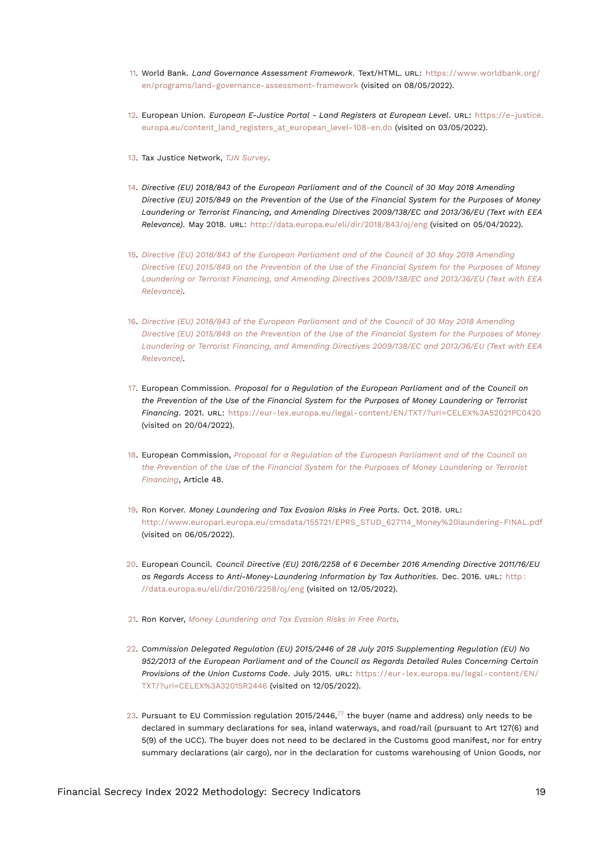- <span id="page-18-18"></span><span id="page-18-0"></span>[11.](#page-2-2) World Bank. *Land Governance Assessment Framework*. Text/HTML. URL: [https://www.worldbank.org/](https://www.worldbank.org/en/programs/land-governance-assessment-framework) [en/programs/land-governance-assessment-framework](https://www.worldbank.org/en/programs/land-governance-assessment-framework) (visited on 08/05/2022).
- <span id="page-18-1"></span>[12.](#page-2-3) European Union. *European E-Justice Portal - Land Registers at European Level*. URL: [https://e-justice.](https://e-justice.europa.eu/content_land_registers_at_european_level-108-en.do) [europa.eu/content\\_land\\_registers\\_at\\_european\\_level-108-en.do](https://e-justice.europa.eu/content_land_registers_at_european_level-108-en.do) (visited on 03/05/2022).
- <span id="page-18-2"></span>[13.](#page-2-4) Tax Justice Network, *[TJN Survey](#page-17-11)*.
- <span id="page-18-13"></span><span id="page-18-3"></span>[14.](#page-4-0) *Directive (EU) 2018/843 of the European Parliament and of the Council of 30 May 2018 Amending Directive (EU) 2015/849 on the Prevention of the Use of the Financial System for the Purposes of Money Laundering or Terrorist Financing, and Amending Directives 2009/138/EC and 2013/36/EU (Text with EEA Relevance)*. May 2018. URL: <http://data.europa.eu/eli/dir/2018/843/oj/eng> (visited on 05/04/2022).
- <span id="page-18-4"></span>[15.](#page-4-1) *[Directive \(EU\) 2018/843 of the European Parliament and of the Council of 30 May 2018 Amending](#page-18-13) [Directive \(EU\) 2015/849 on the Prevention of the Use of the Financial System for the Purposes of Money](#page-18-13) [Laundering or Terrorist Financing, and Amending Directives 2009/138/EC and 2013/36/EU \(Text with EEA](#page-18-13) [Relevance\)](#page-18-13)*.
- <span id="page-18-5"></span>[16.](#page-4-2) *[Directive \(EU\) 2018/843 of the European Parliament and of the Council of 30 May 2018 Amending](#page-18-13) [Directive \(EU\) 2015/849 on the Prevention of the Use of the Financial System for the Purposes of Money](#page-18-13) [Laundering or Terrorist Financing, and Amending Directives 2009/138/EC and 2013/36/EU \(Text with EEA](#page-18-13) [Relevance\)](#page-18-13)*.
- <span id="page-18-14"></span><span id="page-18-6"></span>[17.](#page-4-3) European Commission. *Proposal for a Regulation of the European Parliament and of the Council on the Prevention of the Use of the Financial System for the Purposes of Money Laundering or Terrorist Financing*. 2021. URL: <https://eur-lex.europa.eu/legal-content/EN/TXT/?uri=CELEX%3A52021PC0420> (visited on 20/04/2022).
- <span id="page-18-7"></span>[18.](#page-4-4) European Commission, *[Proposal for a Regulation of the European Parliament and of the Council on](#page-18-14) [the Prevention of the Use of the Financial System for the Purposes of Money Laundering or Terrorist](#page-18-14) [Financing](#page-18-14)*, Article 48.
- <span id="page-18-15"></span><span id="page-18-8"></span>[19.](#page-4-5) Ron Korver. *Money Laundering and Tax Evasion Risks in Free Ports*. Oct. 2018. URL: [http://www.europarl.europa.eu/cmsdata/155721/EPRS\\_STUD\\_627114\\_Money%20laundering-FINAL.pdf](http://www.europarl.europa.eu/cmsdata/155721/EPRS_STUD_627114_Money%20laundering-FINAL.pdf) (visited on 06/05/2022).
- <span id="page-18-9"></span>[20.](#page-5-0) European Council. *Council Directive (EU) 2016/2258 of 6 December 2016 Amending Directive 2011/16/EU as Regards Access to Anti-Money-Laundering Information by Tax Authorities*. Dec. 2016. URL: [http :](http://data.europa.eu/eli/dir/2016/2258/oj/eng) [//data.europa.eu/eli/dir/2016/2258/oj/eng](http://data.europa.eu/eli/dir/2016/2258/oj/eng) (visited on 12/05/2022).
- <span id="page-18-10"></span>[21.](#page-5-1) Ron Korver, *[Money Laundering and Tax Evasion Risks in Free Ports](#page-18-15)*.
- <span id="page-18-17"></span><span id="page-18-11"></span>[22.](#page-5-2) *Commission Delegated Regulation (EU) 2015/2446 of 28 July 2015 Supplementing Regulation (EU) No 952/2013 of the European Parliament and of the Council as Regards Detailed Rules Concerning Certain Provisions of the Union Customs Code*. July 2015. URL: [https://eur-lex.europa.eu/legal-content/EN/](https://eur-lex.europa.eu/legal-content/EN/TXT/?uri=CELEX%3A32015R2446) [TXT/?uri=CELEX%3A32015R2446](https://eur-lex.europa.eu/legal-content/EN/TXT/?uri=CELEX%3A32015R2446) (visited on 12/05/2022).
- <span id="page-18-16"></span><span id="page-18-12"></span>[23.](#page-5-3) Pursuant to EU Commission regulation 2015/2446, $\frac{7}{7}$  the buyer (name and address) only needs to be declared in summary declarations for sea, inland waterways, and road/rail (pursuant to Art 127(6) and 5(9) of the UCC). The buyer does not need to be declared in the Customs good manifest, nor for entry summary declarations (air cargo), nor in the declaration for customs warehousing of Union Goods, nor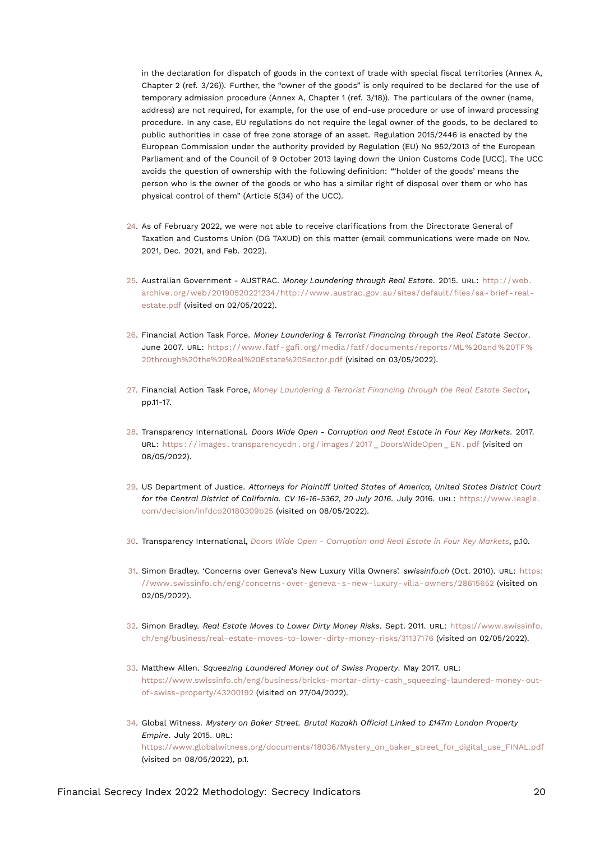<span id="page-19-13"></span>in the declaration for dispatch of goods in the context of trade with special fiscal territories (Annex A, Chapter 2 (ref. 3/26)). Further, the "owner of the goods" is only required to be declared for the use of temporary admission procedure (Annex A, Chapter 1 (ref. 3/18)). The particulars of the owner (name, address) are not required, for example, for the use of end-use procedure or use of inward processing procedure. In any case, EU regulations do not require the legal owner of the goods, to be declared to public authorities in case of free zone storage of an asset. Regulation 2015/2446 is enacted by the European Commission under the authority provided by Regulation (EU) No 952/2013 of the European Parliament and of the Council of 9 October 2013 laying down the Union Customs Code [UCC]. The UCC avoids the question of ownership with the following definition: "'holder of the goods' means the person who is the owner of the goods or who has a similar right of disposal over them or who has physical control of them" (Article 5(34) of the UCC).

- <span id="page-19-0"></span>[24.](#page-5-4) As of February 2022, we were not able to receive clarifications from the Directorate General of Taxation and Customs Union (DG TAXUD) on this matter (email communications were made on Nov. 2021, Dec. 2021, and Feb. 2022).
- <span id="page-19-1"></span>[25.](#page-5-5) Australian Government - AUSTRAC. *Money Laundering through Real Estate*. 2015. URL: [http://web.](http://web.archive.org/web/20190520221234/http://www.austrac.gov.au/sites/default/files/sa-brief-real-estate.pdf) [archive.org/web/20190520221234/http://www.austrac.gov.au/sites/default/files/sa- brief- real](http://web.archive.org/web/20190520221234/http://www.austrac.gov.au/sites/default/files/sa-brief-real-estate.pdf)[estate.pdf](http://web.archive.org/web/20190520221234/http://www.austrac.gov.au/sites/default/files/sa-brief-real-estate.pdf) (visited on 02/05/2022).
- <span id="page-19-11"></span><span id="page-19-2"></span>[26.](#page-6-0) Financial Action Task Force. *Money Laundering & Terrorist Financing through the Real Estate Sector*. June 2007. URL: [https://www.fatf- gafi.org/media/fatf/documents/reports/ML%20and%20TF%](https://www.fatf-gafi.org/media/fatf/documents/reports/ML%20and%20TF%20through%20the%20Real%20Estate%20Sector.pdf) [20through%20the%20Real%20Estate%20Sector.pdf](https://www.fatf-gafi.org/media/fatf/documents/reports/ML%20and%20TF%20through%20the%20Real%20Estate%20Sector.pdf) (visited on 03/05/2022).
- <span id="page-19-3"></span>[27.](#page-6-1) Financial Action Task Force, *[Money Laundering & Terrorist Financing through the Real Estate Sector](#page-19-11)*, pp.11-17.
- <span id="page-19-12"></span><span id="page-19-4"></span>[28.](#page-6-2) Transparency International. *Doors Wide Open - Corruption and Real Estate in Four Key Markets*. 2017. URL: [https : / / images . transparencycdn . org / images / 2017 \\_ DoorsWideOpen \\_ EN . pdf](https://images.transparencycdn.org/images/2017_DoorsWideOpen_EN.pdf) (visited on 08/05/2022).
- <span id="page-19-5"></span>[29.](#page-6-3) US Department of Justice. *Attorneys for Plaintiff United States of America, United States District Court for the Central District of California. CV 16-16-5362, 20 July 2016*. July 2016. URL: [https://www.leagle.](https://www.leagle.com/decision/infdco20180309b25) [com/decision/infdco20180309b25](https://www.leagle.com/decision/infdco20180309b25) (visited on 08/05/2022).
- <span id="page-19-6"></span>[30.](#page-7-0) Transparency International, *[Doors Wide Open - Corruption and Real Estate in Four Key Markets](#page-19-12)*, p.10.
- <span id="page-19-7"></span>[31.](#page-7-1) Simon Bradley. 'Concerns over Geneva's New Luxury Villa Owners'. *swissinfo.ch* (Oct. 2010). URL: [https:](https://www.swissinfo.ch/eng/concerns-over-geneva-s-new-luxury-villa-owners/28615652) [//www.swissinfo.ch/eng/concerns- over- geneva- s- new- luxury- villa- owners/28615652](https://www.swissinfo.ch/eng/concerns-over-geneva-s-new-luxury-villa-owners/28615652) (visited on 02/05/2022).
- <span id="page-19-8"></span>[32.](#page-7-2) Simon Bradley. *Real Estate Moves to Lower Dirty Money Risks*. Sept. 2011. URL: [https://www.swissinfo.](https://www.swissinfo.ch/eng/business/real-estate-moves-to-lower-dirty-money-risks/31137176) [ch/eng/business/real-estate-moves-to-lower-dirty-money-risks/31137176](https://www.swissinfo.ch/eng/business/real-estate-moves-to-lower-dirty-money-risks/31137176) (visited on 02/05/2022).
- <span id="page-19-9"></span>[33.](#page-7-3) Matthew Allen. *Squeezing Laundered Money out of Swiss Property*. May 2017. URL: [https://www.swissinfo.ch/eng/business/bricks-mortar-dirty-cash\\_squeezing-laundered-money-out](https://www.swissinfo.ch/eng/business/bricks-mortar-dirty-cash_squeezing-laundered-money-out-of-swiss-property/43200192)[of-swiss-property/43200192](https://www.swissinfo.ch/eng/business/bricks-mortar-dirty-cash_squeezing-laundered-money-out-of-swiss-property/43200192) (visited on 27/04/2022).
- <span id="page-19-10"></span>[34.](#page-7-4) Global Witness. *Mystery on Baker Street. Brutal Kazakh Official Linked to £147m London Property Empire*. July 2015. URL: [https://www.globalwitness.org/documents/18036/Mystery\\_on\\_baker\\_street\\_for\\_digital\\_use\\_FINAL.pdf](https://www.globalwitness.org/documents/18036/Mystery_on_baker_street_for_digital_use_FINAL.pdf) (visited on 08/05/2022), p.1.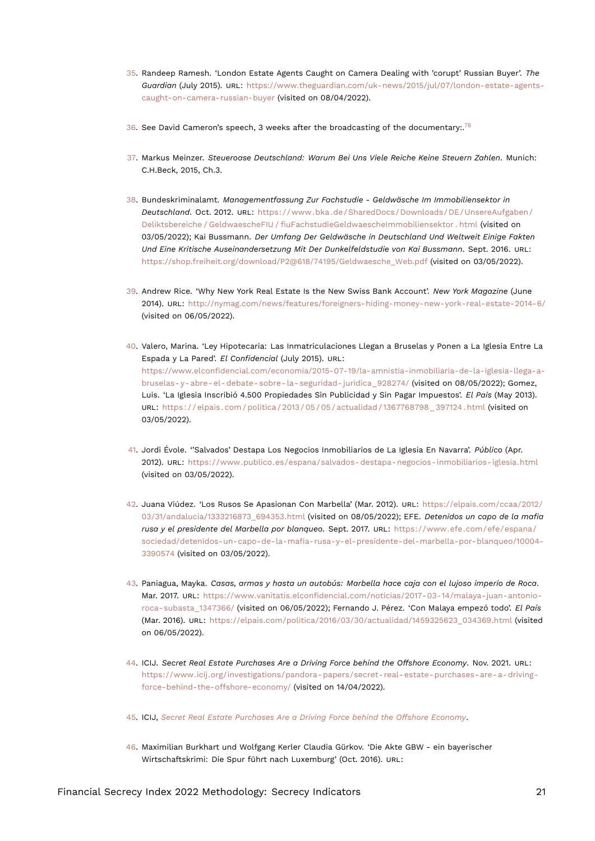- <span id="page-20-14"></span><span id="page-20-0"></span>[35.](#page-7-5) Randeep Ramesh. 'London Estate Agents Caught on Camera Dealing with 'corupt' Russian Buyer'. *The Guardian* (July 2015). URL: [https://www.theguardian.com/uk-news/2015/jul/07/london-estate-agents](https://www.theguardian.com/uk-news/2015/jul/07/london-estate-agents-caught-on-camera-russian-buyer)[caught-on-camera-russian-buyer](https://www.theguardian.com/uk-news/2015/jul/07/london-estate-agents-caught-on-camera-russian-buyer) (visited on 08/04/2022).
- <span id="page-20-13"></span><span id="page-20-1"></span>[36.](#page-7-6) See David Cameron's speech, 3 weeks after the broadcasting of the documentary:.<sup>[78](#page-23-5)</sup>
- <span id="page-20-2"></span>[37.](#page-7-7) Markus Meinzer. *Steueroase Deutschland: Warum Bei Uns Viele Reiche Keine Steuern Zahlen*. Munich: C.H.Beck, 2015, Ch.3.
- <span id="page-20-3"></span>[38.](#page-7-8) Bundeskriminalamt. *Managementfassung Zur Fachstudie - Geldwäsche Im Immobiliensektor in Deutschland*. Oct. 2012. URL: [https://www.bka.de/SharedDocs/Downloads/DE/UnsereAufgaben/](https://www.bka.de/SharedDocs/Downloads/DE/UnsereAufgaben/Deliktsbereiche/GeldwaescheFIU/fiuFachstudieGeldwaescheImmobiliensektor.html) [Deliktsbereiche / GeldwaescheFIU / fiuFachstudieGeldwaescheImmobiliensektor . html](https://www.bka.de/SharedDocs/Downloads/DE/UnsereAufgaben/Deliktsbereiche/GeldwaescheFIU/fiuFachstudieGeldwaescheImmobiliensektor.html) (visited on 03/05/2022); Kai Bussmann. *Der Umfang Der Geldwäsche in Deutschland Und Weltweit Einige Fakten Und Eine Kritische Auseinandersetzung Mit Der Dunkelfeldstudie von Kai Bussmann*. Sept. 2016. URL: [https://shop.freiheit.org/download/P2@618/74195/Geldwaesche\\_Web.pdf](https://shop.freiheit.org/download/P2@618/74195/Geldwaesche_Web.pdf) (visited on 03/05/2022).
- <span id="page-20-4"></span>[39.](#page-7-9) Andrew Rice. 'Why New York Real Estate Is the New Swiss Bank Account'. *New York Magazine* (June 2014). URL: <http://nymag.com/news/features/foreigners-hiding-money-new-york-real-estate-2014-6/> (visited on 06/05/2022).
- <span id="page-20-5"></span>[40.](#page-8-0) Valero, Marina. 'Ley Hipotecaria: Las Inmatriculaciones Llegan a Bruselas y Ponen a La Iglesia Entre La Espada y La Pared'. *El Confidencial* (July 2015). URL: [https://www.elconfidencial.com/economia/2015-07-19/la-amnistia-inmobiliaria-de-la-iglesia-llega-a](https://www.elconfidencial.com/economia/2015-07-19/la-amnistia-inmobiliaria-de-la-iglesia-llega-a-bruselas-y-abre-el-debate-sobre-la-seguridad-juridica_928274/)[bruselas- y- abre- el- debate- sobre- la- seguridad- juridica\\_928274/](https://www.elconfidencial.com/economia/2015-07-19/la-amnistia-inmobiliaria-de-la-iglesia-llega-a-bruselas-y-abre-el-debate-sobre-la-seguridad-juridica_928274/) (visited on 08/05/2022); Gomez, Luis. 'La Iglesia Inscribió 4.500 Propiedades Sin Publicidad y Sin Pagar Impuestos'. *El Pais* (May 2013). URL: [https : / / elpais . com / politica / 2013 / 05 / 05 / actualidad / 1367768798 \\_ 397124 . html](https://elpais.com/politica/2013/05/05/actualidad/1367768798_397124.html) (visited on 03/05/2022).
- <span id="page-20-6"></span>[41.](#page-8-1) Jordi Évole. ''Salvados' Destapa Los Negocios Inmobiliarios de La Iglesia En Navarra'. *Público* (Apr. 2012). URL: <https://www.publico.es/espana/salvados-destapa-negocios-inmobiliarios-iglesia.html> (visited on 03/05/2022).
- <span id="page-20-7"></span>[42.](#page-8-2) Juana Viúdez. 'Los Rusos Se Apasionan Con Marbella' (Mar. 2012). URL: [https://elpais.com/ccaa/2012/](https://elpais.com/ccaa/2012/03/31/andalucia/1333216873_694353.html) [03/31/andalucia/1333216873\\_694353.html](https://elpais.com/ccaa/2012/03/31/andalucia/1333216873_694353.html) (visited on 08/05/2022); EFE. *Detenidos un capo de la mafia rusa y el presidente del Marbella por blanqueo*. Sept. 2017. URL: [https://www.efe.com/efe/espana/](https://www.efe.com/efe/espana/sociedad/detenidos-un-capo-de-la-mafia-rusa-y-el-presidente-del-marbella-por-blanqueo/10004-3390574) [sociedad/detenidos-un-capo-de-la-mafia-rusa-y-el-presidente-del-marbella-por-blanqueo/10004-](https://www.efe.com/efe/espana/sociedad/detenidos-un-capo-de-la-mafia-rusa-y-el-presidente-del-marbella-por-blanqueo/10004-3390574) [3390574](https://www.efe.com/efe/espana/sociedad/detenidos-un-capo-de-la-mafia-rusa-y-el-presidente-del-marbella-por-blanqueo/10004-3390574) (visited on 03/05/2022).
- <span id="page-20-8"></span>[43.](#page-8-3) Paniagua, Mayka. *Casas, armas y hasta un autobús: Marbella hace caja con el lujoso imperio de Roca*. Mar. 2017. URL: [https://www.vanitatis.elconfidencial.com/noticias/2017-03-14/malaya-juan-antonio](https://www.vanitatis.elconfidencial.com/noticias/2017-03-14/malaya-juan-antonio-roca-subasta_1347366/)[roca-subasta\\_1347366/](https://www.vanitatis.elconfidencial.com/noticias/2017-03-14/malaya-juan-antonio-roca-subasta_1347366/) (visited on 06/05/2022); Fernando J. Pérez. 'Con Malaya empezó todo'. *El País* (Mar. 2016). URL: [https://elpais.com/politica/2016/03/30/actualidad/1459325623\\_034369.html](https://elpais.com/politica/2016/03/30/actualidad/1459325623_034369.html) (visited on 06/05/2022).
- <span id="page-20-12"></span><span id="page-20-9"></span>[44.](#page-8-4) ICIJ. *Secret Real Estate Purchases Are a Driving Force behind the Offshore Economy*. Nov. 2021. URL: [https://www.icij.org/investigations/pandora-papers/secret-real-estate-purchases-are-a-driving](https://www.icij.org/investigations/pandora-papers/secret-real-estate-purchases-are-a-driving-force-behind-the-offshore-economy/)[force-behind-the-offshore-economy/](https://www.icij.org/investigations/pandora-papers/secret-real-estate-purchases-are-a-driving-force-behind-the-offshore-economy/) (visited on 14/04/2022).
- <span id="page-20-10"></span>[45.](#page-8-5) ICIJ, *[Secret Real Estate Purchases Are a Driving Force behind the Offshore Economy](#page-20-12)*.
- <span id="page-20-11"></span>[46.](#page-8-6) Maximilian Burkhart und Wolfgang Kerler Claudia Gürkov. 'Die Akte GBW - ein bayerischer Wirtschaftskrimi: Die Spur führt nach Luxemburg' (Oct. 2016). URL: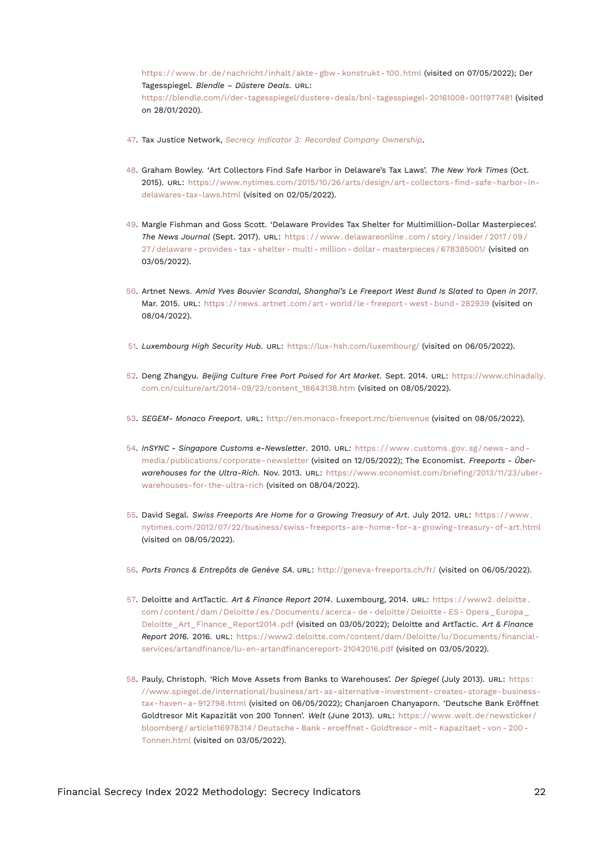<span id="page-21-17"></span>[https://www.br.de/nachricht/inhalt/akte- gbw- konstrukt- 100.html](https://www.br.de/nachricht/inhalt/akte-gbw-konstrukt-100.html) (visited on 07/05/2022); Der Tagesspiegel. *Blendle – Düstere Deals*. URL: <https://blendle.com/i/der-tagesspiegel/dustere-deals/bnl-tagesspiegel-20161008-0011977481> (visited on 28/01/2020).

- <span id="page-21-0"></span>[47.](#page-8-7) Tax Justice Network, *[Secrecy Indicator 3: Recorded Company Ownership](#page-17-12)*.
- <span id="page-21-1"></span>[48.](#page-8-8) Graham Bowley. 'Art Collectors Find Safe Harbor in Delaware's Tax Laws'. *The New York Times* (Oct. 2015). URL: [https://www.nytimes.com/2015/10/26/arts/design/art-collectors-find-safe-harbor-in](https://www.nytimes.com/2015/10/26/arts/design/art-collectors-find-safe-harbor-in-delawares-tax-laws.html)[delawares-tax-laws.html](https://www.nytimes.com/2015/10/26/arts/design/art-collectors-find-safe-harbor-in-delawares-tax-laws.html) (visited on 02/05/2022).
- <span id="page-21-2"></span>[49.](#page-8-9) Margie Fishman and Goss Scott. 'Delaware Provides Tax Shelter for Multimillion-Dollar Masterpieces'. *The News Journal* (Sept. 2017). URL: [https : / / www . delawareonline . com / story / insider / 2017 / 09 /](https://www.delawareonline.com/story/insider/2017/09/27/delaware-provides-tax-shelter-multi-million-dollar-masterpieces/678385001/) [27 / delaware - provides - tax - shelter - multi - million - dollar - masterpieces / 678385001/](https://www.delawareonline.com/story/insider/2017/09/27/delaware-provides-tax-shelter-multi-million-dollar-masterpieces/678385001/) (visited on 03/05/2022).
- <span id="page-21-15"></span><span id="page-21-3"></span>[50.](#page-8-10) Artnet News. *Amid Yves Bouvier Scandal, Shanghai's Le Freeport West Bund Is Slated to Open in 2017*. Mar. 2015. URL: [https://news.artnet.com/art- world/le- freeport- west- bund- 282939](https://news.artnet.com/art-world/le-freeport-west-bund-282939) (visited on 08/04/2022).
- <span id="page-21-4"></span>[51.](#page-8-11) *Luxembourg High Security Hub*. URL: <https://lux-hsh.com/luxembourg/> (visited on 06/05/2022).
- <span id="page-21-5"></span>[52.](#page-8-12) Deng Zhangyu. *Beijing Culture Free Port Poised for Art Market*. Sept. 2014. URL: [https://www.chinadaily.](https://www.chinadaily.com.cn/culture/art/2014-09/23/content_18643138.htm) [com.cn/culture/art/2014-09/23/content\\_18643138.htm](https://www.chinadaily.com.cn/culture/art/2014-09/23/content_18643138.htm) (visited on 08/05/2022).
- <span id="page-21-6"></span>[53.](#page-8-13) *SEGEM- Monaco Freeport*. URL: <http://en.monaco-freeport.mc/bienvenue> (visited on 08/05/2022).
- <span id="page-21-13"></span><span id="page-21-7"></span>[54.](#page-8-14) *InSYNC - Singapore Customs e-Newsletter*. 2010. URL: [https : / / www . customs . gov . sg / news - and](https://www.customs.gov.sg/news-and-media/publications/corporate-newsletter)  [media/publications/corporate- newsletter](https://www.customs.gov.sg/news-and-media/publications/corporate-newsletter) (visited on 12/05/2022); The Economist. *Freeports - Überwarehouses for the Ultra-Rich*. Nov. 2013. URL: [https://www.economist.com/briefing/2013/11/23/uber](https://www.economist.com/briefing/2013/11/23/uber-warehouses-for-the-ultra-rich)[warehouses-for-the-ultra-rich](https://www.economist.com/briefing/2013/11/23/uber-warehouses-for-the-ultra-rich) (visited on 08/04/2022).
- <span id="page-21-8"></span>[55.](#page-9-0) David Segal. *Swiss Freeports Are Home for a Growing Treasury of Art*. July 2012. URL: [https://www.](https://www.nytimes.com/2012/07/22/business/swiss-freeports-are-home-for-a-growing-treasury-of-art.html) [nytimes.com/2012/07/22/business/swiss-freeports-are-home-for-a-growing-treasury-of-art.html](https://www.nytimes.com/2012/07/22/business/swiss-freeports-are-home-for-a-growing-treasury-of-art.html) (visited on 08/05/2022).
- <span id="page-21-9"></span>[56.](#page-9-1) *Ports Francs & Entrepôts de Genève SA*. URL: <http://geneva-freeports.ch/fr/> (visited on 06/05/2022).
- <span id="page-21-16"></span><span id="page-21-12"></span><span id="page-21-10"></span>[57.](#page-9-2) Deloitte and ArtTactic. *Art & Finance Report 2014*. Luxembourg, 2014. URL: [https : / / www2 . deloitte .](https://www2.deloitte.com/content/dam/Deloitte/es/Documents/acerca-de-deloitte/Deloitte-ES-Opera_Europa_Deloitte_Art_Finance_Report2014.pdf) [com / content / dam / Deloitte / es / Documents / acerca - de - deloitte / Deloitte - ES - Opera \\_ Europa \\_](https://www2.deloitte.com/content/dam/Deloitte/es/Documents/acerca-de-deloitte/Deloitte-ES-Opera_Europa_Deloitte_Art_Finance_Report2014.pdf) [Deloitte\\_Art\\_Finance\\_Report2014.pdf](https://www2.deloitte.com/content/dam/Deloitte/es/Documents/acerca-de-deloitte/Deloitte-ES-Opera_Europa_Deloitte_Art_Finance_Report2014.pdf) (visited on 03/05/2022); Deloitte and ArtTactic. *Art & Finance Report 2016*. 2016. URL: [https://www2.deloitte.com/content/dam/Deloitte/lu/Documents/financial](https://www2.deloitte.com/content/dam/Deloitte/lu/Documents/financial-services/artandfinance/lu-en-artandfinancereport-21042016.pdf)[services/artandfinance/lu-en-artandfinancereport-21042016.pdf](https://www2.deloitte.com/content/dam/Deloitte/lu/Documents/financial-services/artandfinance/lu-en-artandfinancereport-21042016.pdf) (visited on 03/05/2022).
- <span id="page-21-14"></span><span id="page-21-11"></span>[58.](#page-9-3) Pauly, Christoph. 'Rich Move Assets from Banks to Warehouses'. *Der Spiegel* (July 2013). URL: [https:](https://www.spiegel.de/international/business/art-as-alternative-investment-creates-storage-business-tax-haven-a-912798.html) [//www.spiegel.de/international/business/art-as-alternative-investment-creates-storage-business](https://www.spiegel.de/international/business/art-as-alternative-investment-creates-storage-business-tax-haven-a-912798.html)[tax-haven-a-912798.html](https://www.spiegel.de/international/business/art-as-alternative-investment-creates-storage-business-tax-haven-a-912798.html) (visited on 06/05/2022); Chanjaroen Chanyaporn. 'Deutsche Bank Eröffnet Goldtresor Mit Kapazität von 200 Tonnen'. *Welt* (June 2013). URL: [https://www.welt.de/newsticker/](https://www.welt.de/newsticker/bloomberg/article116978314/Deutsche-Bank-eroeffnet-Goldtresor-mit-Kapazitaet-von-200-Tonnen.html) [bloomberg / article116978314 / Deutsche - Bank - eroeffnet - Goldtresor - mit - Kapazitaet - von - 200 -](https://www.welt.de/newsticker/bloomberg/article116978314/Deutsche-Bank-eroeffnet-Goldtresor-mit-Kapazitaet-von-200-Tonnen.html) [Tonnen.html](https://www.welt.de/newsticker/bloomberg/article116978314/Deutsche-Bank-eroeffnet-Goldtresor-mit-Kapazitaet-von-200-Tonnen.html) (visited on 03/05/2022).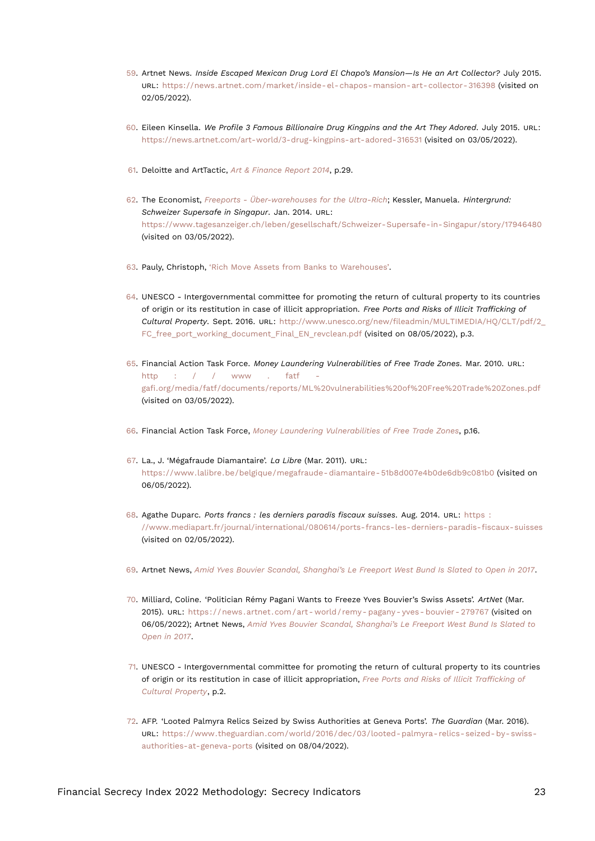- <span id="page-22-17"></span><span id="page-22-0"></span>[59.](#page-9-4) Artnet News. *Inside Escaped Mexican Drug Lord El Chapo's Mansion—Is He an Art Collector?* July 2015. URL: <https://news.artnet.com/market/inside-el-chapos-mansion-art-collector-316398> (visited on 02/05/2022).
- <span id="page-22-1"></span>[60.](#page-9-5) Eileen Kinsella. *We Profile 3 Famous Billionaire Drug Kingpins and the Art They Adored*. July 2015. URL: <https://news.artnet.com/art-world/3-drug-kingpins-art-adored-316531> (visited on 03/05/2022).
- <span id="page-22-2"></span>[61.](#page-9-6) Deloitte and ArtTactic, *[Art & Finance Report 2014](#page-21-12)*, p.29.
- <span id="page-22-3"></span>[62.](#page-9-7) The Economist, *[Freeports - Über-warehouses for the Ultra-Rich](#page-21-13)*; Kessler, Manuela. *Hintergrund: Schweizer Supersafe in Singapur*. Jan. 2014. URL: <https://www.tagesanzeiger.ch/leben/gesellschaft/Schweizer-Supersafe-in-Singapur/story/17946480> (visited on 03/05/2022).
- <span id="page-22-4"></span>[63.](#page-9-8) Pauly, Christoph, ['Rich Move Assets from Banks to Warehouses'.](#page-21-14)
- <span id="page-22-15"></span><span id="page-22-5"></span>[64.](#page-9-9) UNESCO - Intergovernmental committee for promoting the return of cultural property to its countries of origin or its restitution in case of illicit appropriation. *Free Ports and Risks of Illicit Trafficking of Cultural Property*. Sept. 2016. URL: [http://www.unesco.org/new/fileadmin/MULTIMEDIA/HQ/CLT/pdf/2\\_](http://www.unesco.org/new/fileadmin/MULTIMEDIA/HQ/CLT/pdf/2_FC_free_port_working_document_Final_EN_revclean.pdf) FC free port working document Final EN revclean.pdf (visited on 08/05/2022), p.3.
- <span id="page-22-14"></span><span id="page-22-6"></span>[65.](#page-9-10) Financial Action Task Force. *Money Laundering Vulnerabilities of Free Trade Zones*. Mar. 2010. URL: http :  $/$  / www . fatf [gafi.org/media/fatf/documents/reports/ML%20vulnerabilities%20of%20Free%20Trade%20Zones.pdf](http://www.fatf-gafi.org/media/fatf/documents/reports/ML%20vulnerabilities%20of%20Free%20Trade%20Zones.pdf) (visited on 03/05/2022).
- <span id="page-22-7"></span>[66.](#page-10-0) Financial Action Task Force, *[Money Laundering Vulnerabilities of Free Trade Zones](#page-22-14)*, p.16.
- <span id="page-22-8"></span>[67.](#page-10-1) La., J. 'Mégafraude Diamantaire'. *La Libre* (Mar. 2011). URL: [https://www.lalibre.be/belgique/megafraude- diamantaire- 51b8d007e4b0de6db9c081b0](https://www.lalibre.be/belgique/megafraude-diamantaire-51b8d007e4b0de6db9c081b0) (visited on 06/05/2022).
- <span id="page-22-9"></span>[68.](#page-10-2) Agathe Duparc. *Ports francs : les derniers paradis fiscaux suisses*. Aug. 2014. URL: [https :](https://www.mediapart.fr/journal/international/080614/ports-francs-les-derniers-paradis-fiscaux-suisses) [//www.mediapart.fr/journal/international/080614/ports-francs-les-derniers-paradis-fiscaux-suisses](https://www.mediapart.fr/journal/international/080614/ports-francs-les-derniers-paradis-fiscaux-suisses) (visited on 02/05/2022).
- <span id="page-22-10"></span>[69.](#page-10-3) Artnet News, *[Amid Yves Bouvier Scandal, Shanghai's Le Freeport West Bund Is Slated to Open in 2017](#page-21-15)*.
- <span id="page-22-11"></span>[70.](#page-10-4) Milliard, Coline. 'Politician Rémy Pagani Wants to Freeze Yves Bouvier's Swiss Assets'. *ArtNet* (Mar. 2015). URL: https://news.artnet.com/art-world/remy-pagany-yves-bouvier-279767 (visited on 06/05/2022); Artnet News, *[Amid Yves Bouvier Scandal, Shanghai's Le Freeport West Bund Is Slated to](#page-21-15) [Open in 2017](#page-21-15)*.
- <span id="page-22-12"></span>[71.](#page-11-1) UNESCO - Intergovernmental committee for promoting the return of cultural property to its countries of origin or its restitution in case of illicit appropriation, *[Free Ports and Risks of Illicit Trafficking of](#page-22-15) [Cultural Property](#page-22-15)*, p.2.
- <span id="page-22-16"></span><span id="page-22-13"></span>[72.](#page-11-2) AFP. 'Looted Palmyra Relics Seized by Swiss Authorities at Geneva Ports'. *The Guardian* (Mar. 2016). URL: [https://www.theguardian.com/world/2016/dec/03/looted- palmyra- relics- seized- by- swiss](https://www.theguardian.com/world/2016/dec/03/looted-palmyra-relics-seized-by-swiss-authorities-at-geneva-ports)[authorities-at-geneva-ports](https://www.theguardian.com/world/2016/dec/03/looted-palmyra-relics-seized-by-swiss-authorities-at-geneva-ports) (visited on 08/04/2022).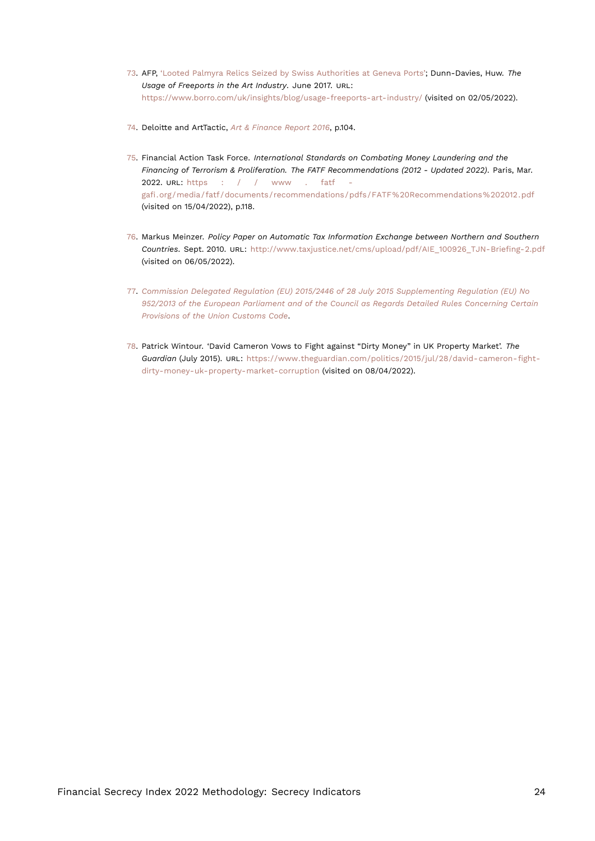- <span id="page-23-6"></span><span id="page-23-0"></span>[73.](#page-11-3) AFP, ['Looted Palmyra Relics Seized by Swiss Authorities at Geneva Ports';](#page-22-16) Dunn-Davies, Huw. *The Usage of Freeports in the Art Industry*. June 2017. URL: <https://www.borro.com/uk/insights/blog/usage-freeports-art-industry/> (visited on 02/05/2022).
- <span id="page-23-1"></span>[74.](#page-11-4) Deloitte and ArtTactic, *[Art & Finance Report 2016](#page-21-16)*, p.104.
- <span id="page-23-2"></span>[75.](#page-17-13) Financial Action Task Force. *International Standards on Combating Money Laundering and the Financing of Terrorism & Proliferation. The FATF Recommendations (2012 - Updated 2022)*. Paris, Mar. 2022. URL: [https : / / www . fatf](https://www.fatf-gafi.org/media/fatf/documents/recommendations/pdfs/FATF%20Recommendations%202012.pdf)  [gafi.org/media/fatf/documents/recommendations/pdfs/FATF%20Recommendations%202012.pdf](https://www.fatf-gafi.org/media/fatf/documents/recommendations/pdfs/FATF%20Recommendations%202012.pdf) (visited on 15/04/2022), p.118.
- <span id="page-23-3"></span>[76.](#page-17-14) Markus Meinzer. *Policy Paper on Automatic Tax Information Exchange between Northern and Southern Countries*. Sept. 2010. URL: [http://www.taxjustice.net/cms/upload/pdf/AIE\\_100926\\_TJN-Briefing-2.pdf](http://www.taxjustice.net/cms/upload/pdf/AIE_100926_TJN-Briefing-2.pdf) (visited on 06/05/2022).
- <span id="page-23-4"></span>[77.](#page-18-16) *[Commission Delegated Regulation \(EU\) 2015/2446 of 28 July 2015 Supplementing Regulation \(EU\) No](#page-18-17) [952/2013 of the European Parliament and of the Council as Regards Detailed Rules Concerning Certain](#page-18-17) [Provisions of the Union Customs Code](#page-18-17)*.
- <span id="page-23-5"></span>[78.](#page-20-13) Patrick Wintour. 'David Cameron Vows to Fight against "Dirty Money" in UK Property Market'. *The Guardian* (July 2015). URL: [https://www.theguardian.com/politics/2015/jul/28/david-cameron-fight](https://www.theguardian.com/politics/2015/jul/28/david-cameron-fight-dirty-money-uk-property-market-corruption)[dirty-money-uk-property-market-corruption](https://www.theguardian.com/politics/2015/jul/28/david-cameron-fight-dirty-money-uk-property-market-corruption) (visited on 08/04/2022).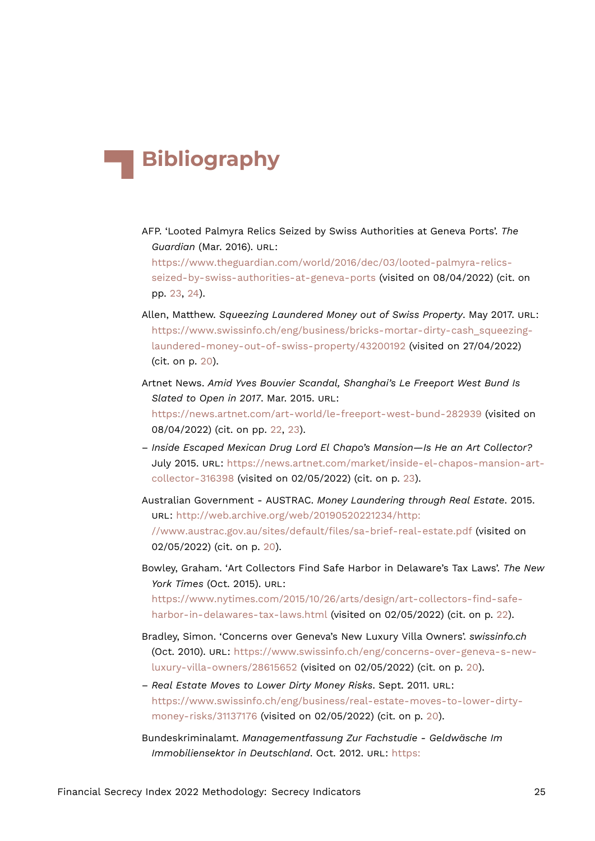# **Bibliography**

AFP. 'Looted Palmyra Relics Seized by Swiss Authorities at Geneva Ports'. *The Guardian* (Mar. 2016). URL:

[https://www.theguardian.com/world/2016/dec/03/looted-palmyra-relics](https://www.theguardian.com/world/2016/dec/03/looted-palmyra-relics-seized-by-swiss-authorities-at-geneva-ports)[seized-by-swiss-authorities-at-geneva-ports](https://www.theguardian.com/world/2016/dec/03/looted-palmyra-relics-seized-by-swiss-authorities-at-geneva-ports) (visited on 08/04/2022) (cit. on pp. [23,](#page-22-17) [24](#page-23-6)).

- Allen, Matthew. *Squeezing Laundered Money out of Swiss Property*. May 2017. URL: [https://www.swissinfo.ch/eng/business/bricks-mortar-dirty-cash\\_squeezing](https://www.swissinfo.ch/eng/business/bricks-mortar-dirty-cash_squeezing-laundered-money-out-of-swiss-property/43200192)[laundered-money-out-of-swiss-property/43200192](https://www.swissinfo.ch/eng/business/bricks-mortar-dirty-cash_squeezing-laundered-money-out-of-swiss-property/43200192) (visited on 27/04/2022) (cit. on p. [20\)](#page-19-13).
- Artnet News. *Amid Yves Bouvier Scandal, Shanghai's Le Freeport West Bund Is Slated to Open in 2017*. Mar. 2015. URL: <https://news.artnet.com/art-world/le-freeport-west-bund-282939> (visited on 08/04/2022) (cit. on pp. [22](#page-21-17), [23\)](#page-22-17).
- *Inside Escaped Mexican Drug Lord El Chapo's Mansion—Is He an Art Collector?* July 2015. URL: [https://news.artnet.com/market/inside-el-chapos-mansion-art](https://news.artnet.com/market/inside-el-chapos-mansion-art-collector-316398)[collector-316398](https://news.artnet.com/market/inside-el-chapos-mansion-art-collector-316398) (visited on 02/05/2022) (cit. on p. [23](#page-22-17)).
- Australian Government AUSTRAC. *Money Laundering through Real Estate*. 2015. URL: [http://web.archive.org/web/20190520221234/http:](http://web.archive.org/web/20190520221234/http://www.austrac.gov.au/sites/default/files/sa-brief-real-estate.pdf) [//www.austrac.gov.au/sites/default/files/sa-brief-real-estate.pdf](http://web.archive.org/web/20190520221234/http://www.austrac.gov.au/sites/default/files/sa-brief-real-estate.pdf) (visited on 02/05/2022) (cit. on p. [20\)](#page-19-13).
- Bowley, Graham. 'Art Collectors Find Safe Harbor in Delaware's Tax Laws'. *The New York Times* (Oct. 2015). URL:

[https://www.nytimes.com/2015/10/26/arts/design/art-collectors-find-safe](https://www.nytimes.com/2015/10/26/arts/design/art-collectors-find-safe-harbor-in-delawares-tax-laws.html)[harbor-in-delawares-tax-laws.html](https://www.nytimes.com/2015/10/26/arts/design/art-collectors-find-safe-harbor-in-delawares-tax-laws.html) (visited on 02/05/2022) (cit. on p. [22\)](#page-21-17).

- Bradley, Simon. 'Concerns over Geneva's New Luxury Villa Owners'. *swissinfo.ch* (Oct. 2010). URL: [https://www.swissinfo.ch/eng/concerns-over-geneva-s-new](https://www.swissinfo.ch/eng/concerns-over-geneva-s-new-luxury-villa-owners/28615652)[luxury-villa-owners/28615652](https://www.swissinfo.ch/eng/concerns-over-geneva-s-new-luxury-villa-owners/28615652) (visited on 02/05/2022) (cit. on p. [20\)](#page-19-13).
- *Real Estate Moves to Lower Dirty Money Risks*. Sept. 2011. URL: [https://www.swissinfo.ch/eng/business/real-estate-moves-to-lower-dirty](https://www.swissinfo.ch/eng/business/real-estate-moves-to-lower-dirty-money-risks/31137176)[money-risks/31137176](https://www.swissinfo.ch/eng/business/real-estate-moves-to-lower-dirty-money-risks/31137176) (visited on 02/05/2022) (cit. on p. [20\)](#page-19-13).
- Bundeskriminalamt. *Managementfassung Zur Fachstudie Geldwäsche Im Immobiliensektor in Deutschland*. Oct. 2012. URL: [https:](https://www.bka.de/SharedDocs/Downloads/DE/UnsereAufgaben/Deliktsbereiche/GeldwaescheFIU/fiuFachstudieGeldwaescheImmobiliensektor.html)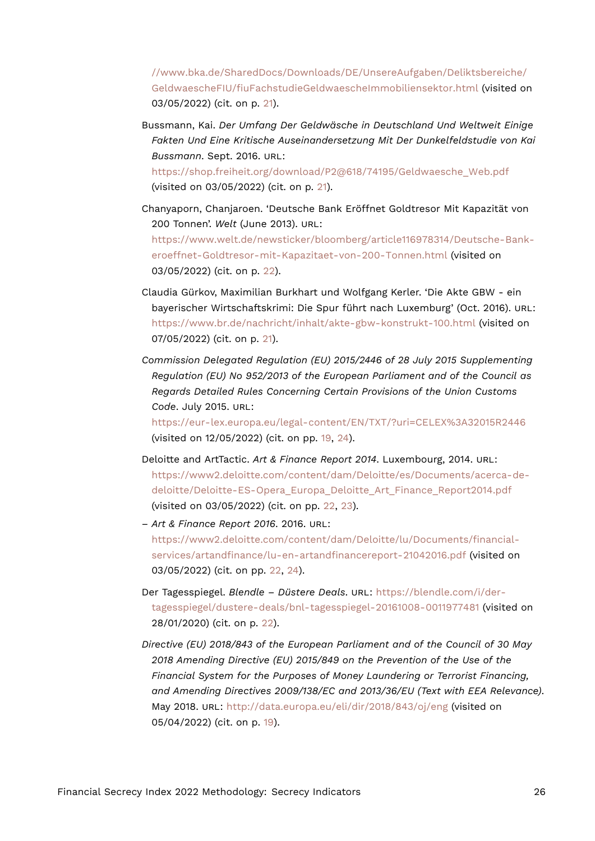[//www.bka.de/SharedDocs/Downloads/DE/UnsereAufgaben/Deliktsbereiche/](https://www.bka.de/SharedDocs/Downloads/DE/UnsereAufgaben/Deliktsbereiche/GeldwaescheFIU/fiuFachstudieGeldwaescheImmobiliensektor.html) [GeldwaescheFIU/fiuFachstudieGeldwaescheImmobiliensektor.html](https://www.bka.de/SharedDocs/Downloads/DE/UnsereAufgaben/Deliktsbereiche/GeldwaescheFIU/fiuFachstudieGeldwaescheImmobiliensektor.html) (visited on 03/05/2022) (cit. on p. [21](#page-20-14)).

Bussmann, Kai. *Der Umfang Der Geldwäsche in Deutschland Und Weltweit Einige Fakten Und Eine Kritische Auseinandersetzung Mit Der Dunkelfeldstudie von Kai Bussmann*. Sept. 2016. URL: [https://shop.freiheit.org/download/P2@618/74195/Geldwaesche\\_Web.pdf](https://shop.freiheit.org/download/P2@618/74195/Geldwaesche_Web.pdf)

(visited on 03/05/2022) (cit. on p. [21](#page-20-14)).

- Chanyaporn, Chanjaroen. 'Deutsche Bank Eröffnet Goldtresor Mit Kapazität von 200 Tonnen'. *Welt* (June 2013). URL: [https://www.welt.de/newsticker/bloomberg/article116978314/Deutsche-Bank](https://www.welt.de/newsticker/bloomberg/article116978314/Deutsche-Bank-eroeffnet-Goldtresor-mit-Kapazitaet-von-200-Tonnen.html)[eroeffnet-Goldtresor-mit-Kapazitaet-von-200-Tonnen.html](https://www.welt.de/newsticker/bloomberg/article116978314/Deutsche-Bank-eroeffnet-Goldtresor-mit-Kapazitaet-von-200-Tonnen.html) (visited on 03/05/2022) (cit. on p. [22](#page-21-17)).
- Claudia Gürkov, Maximilian Burkhart und Wolfgang Kerler. 'Die Akte GBW ein bayerischer Wirtschaftskrimi: Die Spur führt nach Luxemburg' (Oct. 2016). URL: <https://www.br.de/nachricht/inhalt/akte-gbw-konstrukt-100.html> (visited on 07/05/2022) (cit. on p. [21](#page-20-14)).
- *Commission Delegated Regulation (EU) 2015/2446 of 28 July 2015 Supplementing Regulation (EU) No 952/2013 of the European Parliament and of the Council as Regards Detailed Rules Concerning Certain Provisions of the Union Customs Code*. July 2015. URL:

<https://eur-lex.europa.eu/legal-content/EN/TXT/?uri=CELEX%3A32015R2446> (visited on 12/05/2022) (cit. on pp. [19,](#page-18-18) [24](#page-23-6)).

- Deloitte and ArtTactic. *Art & Finance Report 2014*. Luxembourg, 2014. URL: [https://www2.deloitte.com/content/dam/Deloitte/es/Documents/acerca-de](https://www2.deloitte.com/content/dam/Deloitte/es/Documents/acerca-de-deloitte/Deloitte-ES-Opera_Europa_Deloitte_Art_Finance_Report2014.pdf)[deloitte/Deloitte-ES-Opera\\_Europa\\_Deloitte\\_Art\\_Finance\\_Report2014.pdf](https://www2.deloitte.com/content/dam/Deloitte/es/Documents/acerca-de-deloitte/Deloitte-ES-Opera_Europa_Deloitte_Art_Finance_Report2014.pdf) (visited on 03/05/2022) (cit. on pp. [22](#page-21-17), [23\)](#page-22-17).
- *Art & Finance Report 2016*. 2016. URL: [https://www2.deloitte.com/content/dam/Deloitte/lu/Documents/financial](https://www2.deloitte.com/content/dam/Deloitte/lu/Documents/financial-services/artandfinance/lu-en-artandfinancereport-21042016.pdf)[services/artandfinance/lu-en-artandfinancereport-21042016.pdf](https://www2.deloitte.com/content/dam/Deloitte/lu/Documents/financial-services/artandfinance/lu-en-artandfinancereport-21042016.pdf) (visited on 03/05/2022) (cit. on pp. [22](#page-21-17), [24\)](#page-23-6).
- Der Tagesspiegel. *Blendle Düstere Deals*. URL: [https://blendle.com/i/der](https://blendle.com/i/der-tagesspiegel/dustere-deals/bnl-tagesspiegel-20161008-0011977481)[tagesspiegel/dustere-deals/bnl-tagesspiegel-20161008-0011977481](https://blendle.com/i/der-tagesspiegel/dustere-deals/bnl-tagesspiegel-20161008-0011977481) (visited on 28/01/2020) (cit. on p. [22\)](#page-21-17).
- *Directive (EU) 2018/843 of the European Parliament and of the Council of 30 May 2018 Amending Directive (EU) 2015/849 on the Prevention of the Use of the Financial System for the Purposes of Money Laundering or Terrorist Financing, and Amending Directives 2009/138/EC and 2013/36/EU (Text with EEA Relevance)*. May 2018. URL: <http://data.europa.eu/eli/dir/2018/843/oj/eng> (visited on 05/04/2022) (cit. on p. [19\)](#page-18-18).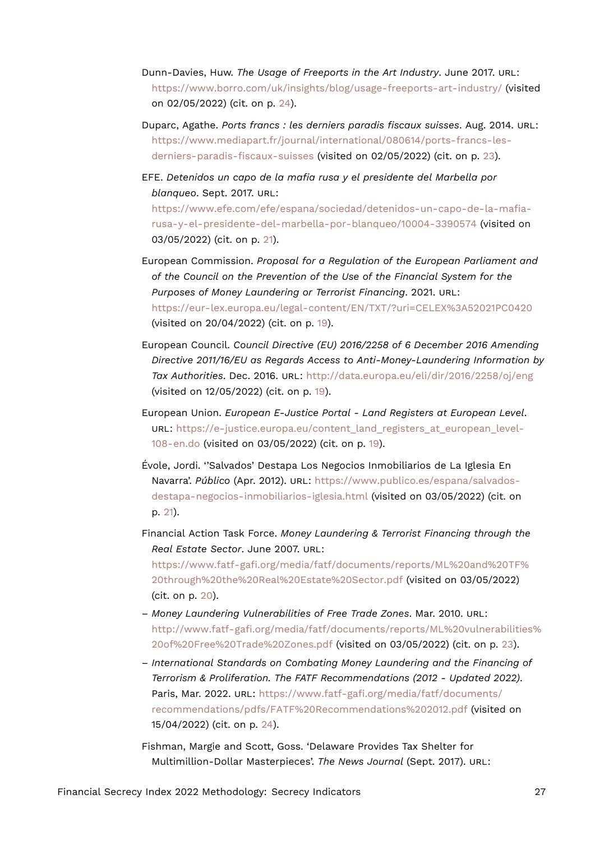- Dunn-Davies, Huw. *The Usage of Freeports in the Art Industry*. June 2017. URL: <https://www.borro.com/uk/insights/blog/usage-freeports-art-industry/> (visited on 02/05/2022) (cit. on p. [24\)](#page-23-6).
- Duparc, Agathe. *Ports francs : les derniers paradis fiscaux suisses*. Aug. 2014. URL: [https://www.mediapart.fr/journal/international/080614/ports-francs-les](https://www.mediapart.fr/journal/international/080614/ports-francs-les-derniers-paradis-fiscaux-suisses)[derniers-paradis-fiscaux-suisses](https://www.mediapart.fr/journal/international/080614/ports-francs-les-derniers-paradis-fiscaux-suisses) (visited on 02/05/2022) (cit. on p. [23](#page-22-17)).
- EFE. *Detenidos un capo de la mafia rusa y el presidente del Marbella por blanqueo*. Sept. 2017. URL:

[https://www.efe.com/efe/espana/sociedad/detenidos-un-capo-de-la-mafia](https://www.efe.com/efe/espana/sociedad/detenidos-un-capo-de-la-mafia-rusa-y-el-presidente-del-marbella-por-blanqueo/10004-3390574)[rusa-y-el-presidente-del-marbella-por-blanqueo/10004-3390574](https://www.efe.com/efe/espana/sociedad/detenidos-un-capo-de-la-mafia-rusa-y-el-presidente-del-marbella-por-blanqueo/10004-3390574) (visited on 03/05/2022) (cit. on p. [21](#page-20-14)).

- European Commission. *Proposal for a Regulation of the European Parliament and of the Council on the Prevention of the Use of the Financial System for the Purposes of Money Laundering or Terrorist Financing*. 2021. URL: <https://eur-lex.europa.eu/legal-content/EN/TXT/?uri=CELEX%3A52021PC0420> (visited on 20/04/2022) (cit. on p. [19\)](#page-18-18).
- European Council. *Council Directive (EU) 2016/2258 of 6 December 2016 Amending Directive 2011/16/EU as Regards Access to Anti-Money-Laundering Information by Tax Authorities*. Dec. 2016. URL: <http://data.europa.eu/eli/dir/2016/2258/oj/eng> (visited on 12/05/2022) (cit. on p. [19](#page-18-18)).
- European Union. *European E-Justice Portal Land Registers at European Level*. URL: [https://e-justice.europa.eu/content\\_land\\_registers\\_at\\_european\\_level-](https://e-justice.europa.eu/content_land_registers_at_european_level-108-en.do)[108-en.do](https://e-justice.europa.eu/content_land_registers_at_european_level-108-en.do) (visited on 03/05/2022) (cit. on p. [19](#page-18-18)).
- Évole, Jordi. ''Salvados' Destapa Los Negocios Inmobiliarios de La Iglesia En Navarra'. *Público* (Apr. 2012). URL: [https://www.publico.es/espana/salvados](https://www.publico.es/espana/salvados-destapa-negocios-inmobiliarios-iglesia.html)[destapa-negocios-inmobiliarios-iglesia.html](https://www.publico.es/espana/salvados-destapa-negocios-inmobiliarios-iglesia.html) (visited on 03/05/2022) (cit. on p. [21](#page-20-14)).

Financial Action Task Force. *Money Laundering & Terrorist Financing through the Real Estate Sector*. June 2007. URL: [https://www.fatf-gafi.org/media/fatf/documents/reports/ML%20and%20TF%](https://www.fatf-gafi.org/media/fatf/documents/reports/ML%20and%20TF%20through%20the%20Real%20Estate%20Sector.pdf) [20through%20the%20Real%20Estate%20Sector.pdf](https://www.fatf-gafi.org/media/fatf/documents/reports/ML%20and%20TF%20through%20the%20Real%20Estate%20Sector.pdf) (visited on 03/05/2022) (cit. on p. [20\)](#page-19-13).

- *Money Laundering Vulnerabilities of Free Trade Zones*. Mar. 2010. URL: [http://www.fatf-gafi.org/media/fatf/documents/reports/ML%20vulnerabilities%](http://www.fatf-gafi.org/media/fatf/documents/reports/ML%20vulnerabilities%20of%20Free%20Trade%20Zones.pdf) [20of%20Free%20Trade%20Zones.pdf](http://www.fatf-gafi.org/media/fatf/documents/reports/ML%20vulnerabilities%20of%20Free%20Trade%20Zones.pdf) (visited on 03/05/2022) (cit. on p. [23\)](#page-22-17).
- *International Standards on Combating Money Laundering and the Financing of Terrorism & Proliferation. The FATF Recommendations (2012 - Updated 2022)*. Paris, Mar. 2022. URL: [https://www.fatf-gafi.org/media/fatf/documents/](https://www.fatf-gafi.org/media/fatf/documents/recommendations/pdfs/FATF%20Recommendations%202012.pdf) [recommendations/pdfs/FATF%20Recommendations%202012.pdf](https://www.fatf-gafi.org/media/fatf/documents/recommendations/pdfs/FATF%20Recommendations%202012.pdf) (visited on 15/04/2022) (cit. on p. [24](#page-23-6)).
- Fishman, Margie and Scott, Goss. 'Delaware Provides Tax Shelter for Multimillion-Dollar Masterpieces'. *The News Journal* (Sept. 2017). URL: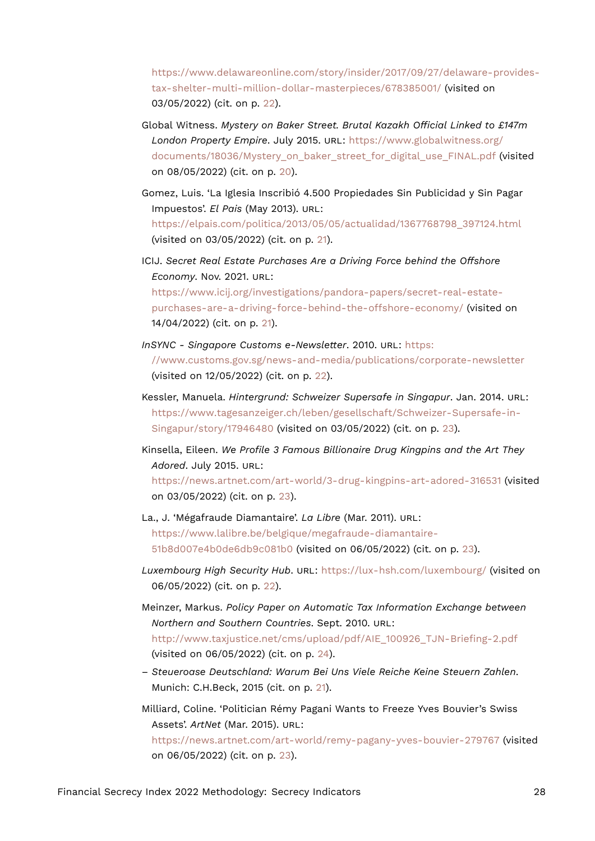[https://www.delawareonline.com/story/insider/2017/09/27/delaware-provides](https://www.delawareonline.com/story/insider/2017/09/27/delaware-provides-tax-shelter-multi-million-dollar-masterpieces/678385001/)[tax-shelter-multi-million-dollar-masterpieces/678385001/](https://www.delawareonline.com/story/insider/2017/09/27/delaware-provides-tax-shelter-multi-million-dollar-masterpieces/678385001/) (visited on 03/05/2022) (cit. on p. [22](#page-21-17)).

- Global Witness. *Mystery on Baker Street. Brutal Kazakh Official Linked to £147m London Property Empire*. July 2015. URL: [https://www.globalwitness.org/](https://www.globalwitness.org/documents/18036/Mystery_on_baker_street_for_digital_use_FINAL.pdf) [documents/18036/Mystery\\_on\\_baker\\_street\\_for\\_digital\\_use\\_FINAL.pdf](https://www.globalwitness.org/documents/18036/Mystery_on_baker_street_for_digital_use_FINAL.pdf) (visited on 08/05/2022) (cit. on p. [20\)](#page-19-13).
- Gomez, Luis. 'La Iglesia Inscribió 4.500 Propiedades Sin Publicidad y Sin Pagar Impuestos'. *El Pais* (May 2013). URL: [https://elpais.com/politica/2013/05/05/actualidad/1367768798\\_397124.html](https://elpais.com/politica/2013/05/05/actualidad/1367768798_397124.html) (visited on 03/05/2022) (cit. on p. [21](#page-20-14)).
- ICIJ. *Secret Real Estate Purchases Are a Driving Force behind the Offshore Economy*. Nov. 2021. URL: [https://www.icij.org/investigations/pandora-papers/secret-real-estate](https://www.icij.org/investigations/pandora-papers/secret-real-estate-purchases-are-a-driving-force-behind-the-offshore-economy/)[purchases-are-a-driving-force-behind-the-offshore-economy/](https://www.icij.org/investigations/pandora-papers/secret-real-estate-purchases-are-a-driving-force-behind-the-offshore-economy/) (visited on

14/04/2022) (cit. on p. [21\)](#page-20-14).

- *InSYNC Singapore Customs e-Newsletter*. 2010. URL: [https:](https://www.customs.gov.sg/news-and-media/publications/corporate-newsletter) [//www.customs.gov.sg/news-and-media/publications/corporate-newsletter](https://www.customs.gov.sg/news-and-media/publications/corporate-newsletter) (visited on 12/05/2022) (cit. on p. [22\)](#page-21-17).
- Kessler, Manuela. *Hintergrund: Schweizer Supersafe in Singapur*. Jan. 2014. URL: [https://www.tagesanzeiger.ch/leben/gesellschaft/Schweizer-Supersafe-in-](https://www.tagesanzeiger.ch/leben/gesellschaft/Schweizer-Supersafe-in-Singapur/story/17946480)[Singapur/story/17946480](https://www.tagesanzeiger.ch/leben/gesellschaft/Schweizer-Supersafe-in-Singapur/story/17946480) (visited on 03/05/2022) (cit. on p. [23](#page-22-17)).
- Kinsella, Eileen. *We Profile 3 Famous Billionaire Drug Kingpins and the Art They Adored*. July 2015. URL:

<https://news.artnet.com/art-world/3-drug-kingpins-art-adored-316531> (visited on 03/05/2022) (cit. on p. [23\)](#page-22-17).

- La., J. 'Mégafraude Diamantaire'. *La Libre* (Mar. 2011). URL: [https://www.lalibre.be/belgique/megafraude-diamantaire-](https://www.lalibre.be/belgique/megafraude-diamantaire-51b8d007e4b0de6db9c081b0)[51b8d007e4b0de6db9c081b0](https://www.lalibre.be/belgique/megafraude-diamantaire-51b8d007e4b0de6db9c081b0) (visited on 06/05/2022) (cit. on p. [23](#page-22-17)).
- *Luxembourg High Security Hub*. URL: <https://lux-hsh.com/luxembourg/> (visited on 06/05/2022) (cit. on p. [22\)](#page-21-17).
- Meinzer, Markus. *Policy Paper on Automatic Tax Information Exchange between Northern and Southern Countries*. Sept. 2010. URL: [http://www.taxjustice.net/cms/upload/pdf/AIE\\_100926\\_TJN-Briefing-2.pdf](http://www.taxjustice.net/cms/upload/pdf/AIE_100926_TJN-Briefing-2.pdf) (visited on 06/05/2022) (cit. on p. [24](#page-23-6)).
- *Steueroase Deutschland: Warum Bei Uns Viele Reiche Keine Steuern Zahlen*. Munich: C.H.Beck, 2015 (cit. on p. [21\)](#page-20-14).
- Milliard, Coline. 'Politician Rémy Pagani Wants to Freeze Yves Bouvier's Swiss Assets'. *ArtNet* (Mar. 2015). URL: <https://news.artnet.com/art-world/remy-pagany-yves-bouvier-279767> (visited

on 06/05/2022) (cit. on p. [23](#page-22-17)).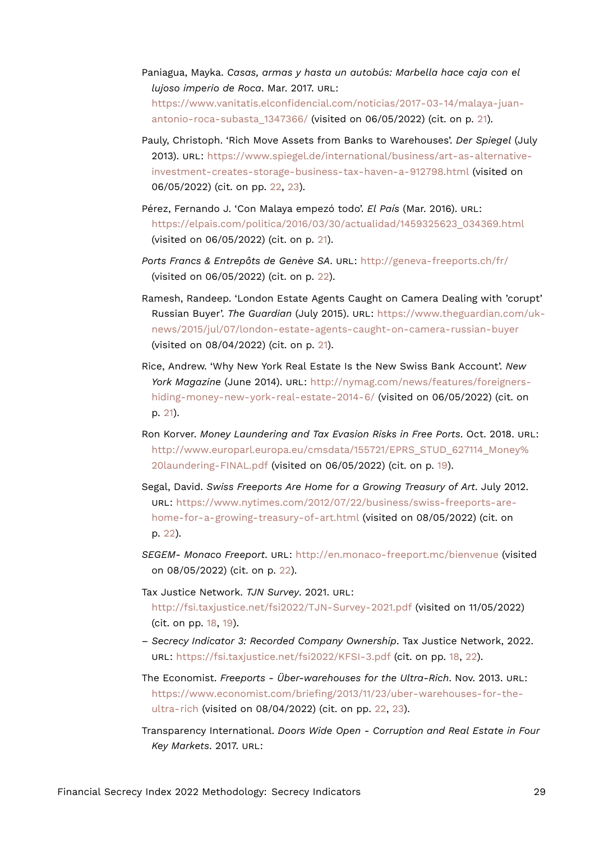- Paniagua, Mayka. *Casas, armas y hasta un autobús: Marbella hace caja con el lujoso imperio de Roca*. Mar. 2017. URL: [https://www.vanitatis.elconfidencial.com/noticias/2017-03-14/malaya-juan](https://www.vanitatis.elconfidencial.com/noticias/2017-03-14/malaya-juan-antonio-roca-subasta_1347366/)[antonio-roca-subasta\\_1347366/](https://www.vanitatis.elconfidencial.com/noticias/2017-03-14/malaya-juan-antonio-roca-subasta_1347366/) (visited on 06/05/2022) (cit. on p. [21](#page-20-14)).
- Pauly, Christoph. 'Rich Move Assets from Banks to Warehouses'. *Der Spiegel* (July 2013). URL: [https://www.spiegel.de/international/business/art-as-alternative](https://www.spiegel.de/international/business/art-as-alternative-investment-creates-storage-business-tax-haven-a-912798.html)[investment-creates-storage-business-tax-haven-a-912798.html](https://www.spiegel.de/international/business/art-as-alternative-investment-creates-storage-business-tax-haven-a-912798.html) (visited on 06/05/2022) (cit. on pp. [22,](#page-21-17) [23](#page-22-17)).
- Pérez, Fernando J. 'Con Malaya empezó todo'. *El País* (Mar. 2016). URL: [https://elpais.com/politica/2016/03/30/actualidad/1459325623\\_034369.html](https://elpais.com/politica/2016/03/30/actualidad/1459325623_034369.html) (visited on 06/05/2022) (cit. on p. [21\)](#page-20-14).
- *Ports Francs & Entrepôts de Genève SA*. URL: <http://geneva-freeports.ch/fr/> (visited on 06/05/2022) (cit. on p. [22](#page-21-17)).
- Ramesh, Randeep. 'London Estate Agents Caught on Camera Dealing with 'corupt' Russian Buyer'. *The Guardian* (July 2015). URL: [https://www.theguardian.com/uk](https://www.theguardian.com/uk-news/2015/jul/07/london-estate-agents-caught-on-camera-russian-buyer)[news/2015/jul/07/london-estate-agents-caught-on-camera-russian-buyer](https://www.theguardian.com/uk-news/2015/jul/07/london-estate-agents-caught-on-camera-russian-buyer) (visited on 08/04/2022) (cit. on p. [21\)](#page-20-14).
- Rice, Andrew. 'Why New York Real Estate Is the New Swiss Bank Account'. *New York Magazine* (June 2014). URL: [http://nymag.com/news/features/foreigners](http://nymag.com/news/features/foreigners-hiding-money-new-york-real-estate-2014-6/)[hiding-money-new-york-real-estate-2014-6/](http://nymag.com/news/features/foreigners-hiding-money-new-york-real-estate-2014-6/) (visited on 06/05/2022) (cit. on p. [21](#page-20-14)).
- Ron Korver. *Money Laundering and Tax Evasion Risks in Free Ports*. Oct. 2018. URL: [http://www.europarl.europa.eu/cmsdata/155721/EPRS\\_STUD\\_627114\\_Money%](http://www.europarl.europa.eu/cmsdata/155721/EPRS_STUD_627114_Money%20laundering-FINAL.pdf) [20laundering-FINAL.pdf](http://www.europarl.europa.eu/cmsdata/155721/EPRS_STUD_627114_Money%20laundering-FINAL.pdf) (visited on 06/05/2022) (cit. on p. [19\)](#page-18-18).
- Segal, David. *Swiss Freeports Are Home for a Growing Treasury of Art*. July 2012. URL: [https://www.nytimes.com/2012/07/22/business/swiss-freeports-are](https://www.nytimes.com/2012/07/22/business/swiss-freeports-are-home-for-a-growing-treasury-of-art.html)[home-for-a-growing-treasury-of-art.html](https://www.nytimes.com/2012/07/22/business/swiss-freeports-are-home-for-a-growing-treasury-of-art.html) (visited on 08/05/2022) (cit. on p. [22](#page-21-17)).
- *SEGEM- Monaco Freeport*. URL: <http://en.monaco-freeport.mc/bienvenue> (visited on 08/05/2022) (cit. on p. [22](#page-21-17)).
- Tax Justice Network. *TJN Survey*. 2021. URL: <http://fsi.taxjustice.net/fsi2022/TJN-Survey-2021.pdf> (visited on 11/05/2022) (cit. on pp. [18](#page-17-15), [19](#page-18-18)).
- *Secrecy Indicator 3: Recorded Company Ownership*. Tax Justice Network, 2022. URL: <https://fsi.taxjustice.net/fsi2022/KFSI-3.pdf> (cit. on pp. [18,](#page-17-15) [22](#page-21-17)).
- The Economist. *Freeports Über-warehouses for the Ultra-Rich*. Nov. 2013. URL: [https://www.economist.com/briefing/2013/11/23/uber-warehouses-for-the](https://www.economist.com/briefing/2013/11/23/uber-warehouses-for-the-ultra-rich)[ultra-rich](https://www.economist.com/briefing/2013/11/23/uber-warehouses-for-the-ultra-rich) (visited on 08/04/2022) (cit. on pp. [22,](#page-21-17) [23](#page-22-17)).
- Transparency International. *Doors Wide Open Corruption and Real Estate in Four Key Markets*. 2017. URL: